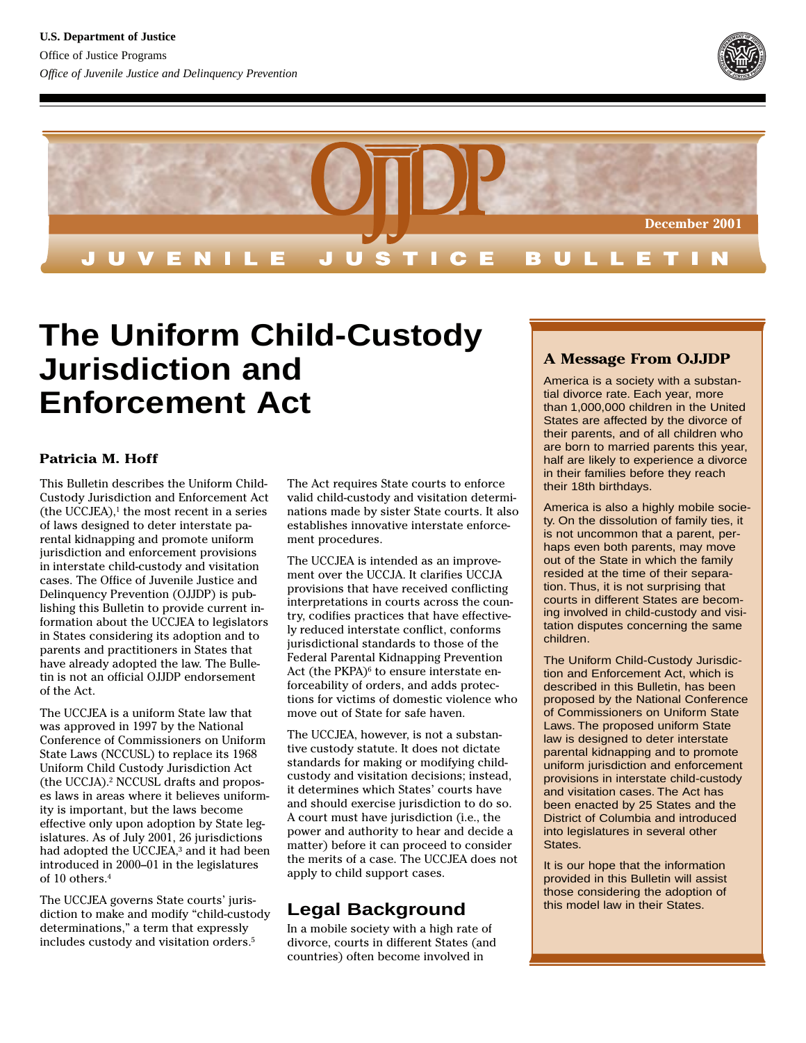



# **The Uniform Child-Custody Jurisdiction and Enforcement Act**

#### **Patricia M. Hoff**

This Bulletin describes the Uniform Child-Custody Jurisdiction and Enforcement Act  $(the UCJEA)<sup>1</sup>$  the most recent in a series of laws designed to deter interstate parental kidnapping and promote uniform jurisdiction and enforcement provisions in interstate child-custody and visitation cases. The Office of Juvenile Justice and Delinquency Prevention (OJJDP) is publishing this Bulletin to provide current information about the UCCJEA to legislators in States considering its adoption and to parents and practitioners in States that have already adopted the law. The Bulletin is not an official OJJDP endorsement of the Act.

The UCCJEA is a uniform State law that was approved in 1997 by the National Conference of Commissioners on Uniform State Laws (NCCUSL) to replace its 1968 Uniform Child Custody Jurisdiction Act (the UCCJA).2 NCCUSL drafts and proposes laws in areas where it believes uniformity is important, but the laws become effective only upon adoption by State legislatures. As of July 2001, 26 jurisdictions had adopted the UCCJEA,<sup>3</sup> and it had been introduced in 2000–01 in the legislatures of 10 others.4

The UCCJEA governs State courts' jurisdiction to make and modify "child-custody determinations," a term that expressly includes custody and visitation orders.5

The Act requires State courts to enforce valid child-custody and visitation determinations made by sister State courts. It also establishes innovative interstate enforcement procedures.

The UCCJEA is intended as an improvement over the UCCJA. It clarifies UCCJA provisions that have received conflicting interpretations in courts across the country, codifies practices that have effectively reduced interstate conflict, conforms jurisdictional standards to those of the Federal Parental Kidnapping Prevention Act (the PKPA)<sup>6</sup> to ensure interstate enforceability of orders, and adds protections for victims of domestic violence who move out of State for safe haven.

The UCCJEA, however, is not a substantive custody statute. It does not dictate standards for making or modifying childcustody and visitation decisions; instead, it determines which States' courts have and should exercise jurisdiction to do so. A court must have jurisdiction (i.e., the power and authority to hear and decide a matter) before it can proceed to consider the merits of a case. The UCCJEA does not apply to child support cases.

# **Legal Background**

In a mobile society with a high rate of divorce, courts in different States (and countries) often become involved in

### **A Message From OJJDP**

America is a society with a substantial divorce rate. Each year, more than 1,000,000 children in the United States are affected by the divorce of their parents, and of all children who are born to married parents this year, half are likely to experience a divorce in their families before they reach their 18th birthdays.

America is also a highly mobile society. On the dissolution of family ties, it is not uncommon that a parent, perhaps even both parents, may move out of the State in which the family resided at the time of their separation. Thus, it is not surprising that courts in different States are becoming involved in child-custody and visitation disputes concerning the same children.

The Uniform Child-Custody Jurisdiction and Enforcement Act, which is described in this Bulletin, has been proposed by the National Conference of Commissioners on Uniform State Laws. The proposed uniform State law is designed to deter interstate parental kidnapping and to promote uniform jurisdiction and enforcement provisions in interstate child-custody and visitation cases. The Act has been enacted by 25 States and the District of Columbia and introduced into legislatures in several other States.

It is our hope that the information provided in this Bulletin will assist those considering the adoption of this model law in their States.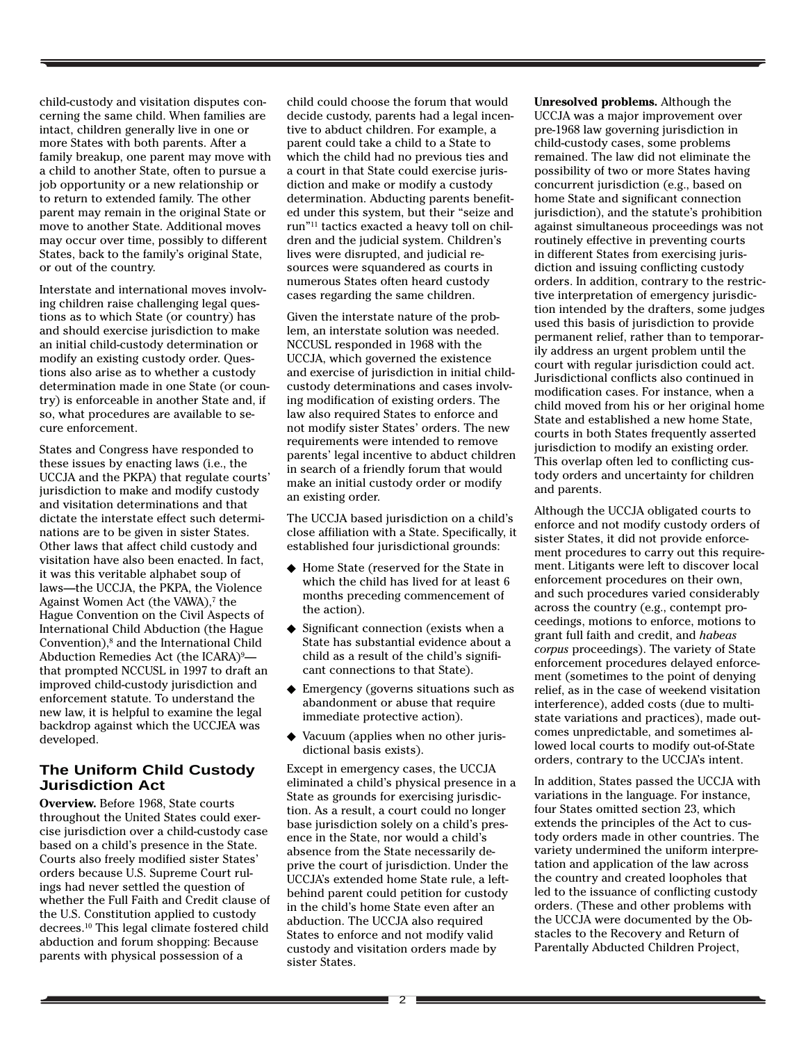child-custody and visitation disputes concerning the same child. When families are intact, children generally live in one or more States with both parents. After a family breakup, one parent may move with a child to another State, often to pursue a job opportunity or a new relationship or to return to extended family. The other parent may remain in the original State or move to another State. Additional moves may occur over time, possibly to different States, back to the family's original State, or out of the country.

Interstate and international moves involving children raise challenging legal questions as to which State (or country) has and should exercise jurisdiction to make an initial child-custody determination or modify an existing custody order. Questions also arise as to whether a custody determination made in one State (or country) is enforceable in another State and, if so, what procedures are available to secure enforcement.

States and Congress have responded to these issues by enacting laws (i.e., the UCCJA and the PKPA) that regulate courts' jurisdiction to make and modify custody and visitation determinations and that dictate the interstate effect such determinations are to be given in sister States. Other laws that affect child custody and visitation have also been enacted. In fact, it was this veritable alphabet soup of laws—the UCCJA, the PKPA, the Violence Against Women Act (the VAWA),<sup>7</sup> the Hague Convention on the Civil Aspects of International Child Abduction (the Hague Convention),8 and the International Child Abduction Remedies Act (the ICARA)9 that prompted NCCUSL in 1997 to draft an improved child-custody jurisdiction and enforcement statute. To understand the new law, it is helpful to examine the legal backdrop against which the UCCJEA was developed.

#### **The Uniform Child Custody Jurisdiction Act**

**Overview.** Before 1968, State courts throughout the United States could exercise jurisdiction over a child-custody case based on a child's presence in the State. Courts also freely modified sister States' orders because U.S. Supreme Court rulings had never settled the question of whether the Full Faith and Credit clause of the U.S. Constitution applied to custody decrees.10 This legal climate fostered child abduction and forum shopping: Because parents with physical possession of a

child could choose the forum that would decide custody, parents had a legal incentive to abduct children. For example, a parent could take a child to a State to which the child had no previous ties and a court in that State could exercise jurisdiction and make or modify a custody determination. Abducting parents benefited under this system, but their "seize and run"11 tactics exacted a heavy toll on children and the judicial system. Children's lives were disrupted, and judicial resources were squandered as courts in numerous States often heard custody cases regarding the same children.

Given the interstate nature of the problem, an interstate solution was needed. NCCUSL responded in 1968 with the UCCJA, which governed the existence and exercise of jurisdiction in initial childcustody determinations and cases involving modification of existing orders. The law also required States to enforce and not modify sister States' orders. The new requirements were intended to remove parents' legal incentive to abduct children in search of a friendly forum that would make an initial custody order or modify an existing order.

The UCCJA based jurisdiction on a child's close affiliation with a State. Specifically, it established four jurisdictional grounds:

- ◆ Home State (reserved for the State in which the child has lived for at least 6 months preceding commencement of the action).
- ◆ Significant connection (exists when a State has substantial evidence about a child as a result of the child's significant connections to that State).
- ◆ Emergency (governs situations such as abandonment or abuse that require immediate protective action).
- Vacuum (applies when no other jurisdictional basis exists).

Except in emergency cases, the UCCJA eliminated a child's physical presence in a State as grounds for exercising jurisdiction. As a result, a court could no longer base jurisdiction solely on a child's presence in the State, nor would a child's absence from the State necessarily deprive the court of jurisdiction. Under the UCCJA's extended home State rule, a leftbehind parent could petition for custody in the child's home State even after an abduction. The UCCJA also required States to enforce and not modify valid custody and visitation orders made by sister States.

**Unresolved problems.** Although the UCCJA was a major improvement over pre-1968 law governing jurisdiction in child-custody cases, some problems remained. The law did not eliminate the possibility of two or more States having concurrent jurisdiction (e.g., based on home State and significant connection jurisdiction), and the statute's prohibition against simultaneous proceedings was not routinely effective in preventing courts in different States from exercising jurisdiction and issuing conflicting custody orders. In addition, contrary to the restrictive interpretation of emergency jurisdiction intended by the drafters, some judges used this basis of jurisdiction to provide permanent relief, rather than to temporarily address an urgent problem until the court with regular jurisdiction could act. Jurisdictional conflicts also continued in modification cases. For instance, when a child moved from his or her original home State and established a new home State, courts in both States frequently asserted jurisdiction to modify an existing order. This overlap often led to conflicting custody orders and uncertainty for children and parents.

Although the UCCJA obligated courts to enforce and not modify custody orders of sister States, it did not provide enforcement procedures to carry out this requirement. Litigants were left to discover local enforcement procedures on their own, and such procedures varied considerably across the country (e.g., contempt proceedings, motions to enforce, motions to grant full faith and credit, and *habeas corpus* proceedings). The variety of State enforcement procedures delayed enforcement (sometimes to the point of denying relief, as in the case of weekend visitation interference), added costs (due to multistate variations and practices), made outcomes unpredictable, and sometimes allowed local courts to modify out-of-State orders, contrary to the UCCJA's intent.

In addition, States passed the UCCJA with variations in the language. For instance, four States omitted section 23, which extends the principles of the Act to custody orders made in other countries. The variety undermined the uniform interpretation and application of the law across the country and created loopholes that led to the issuance of conflicting custody orders. (These and other problems with the UCCJA were documented by the Obstacles to the Recovery and Return of Parentally Abducted Children Project,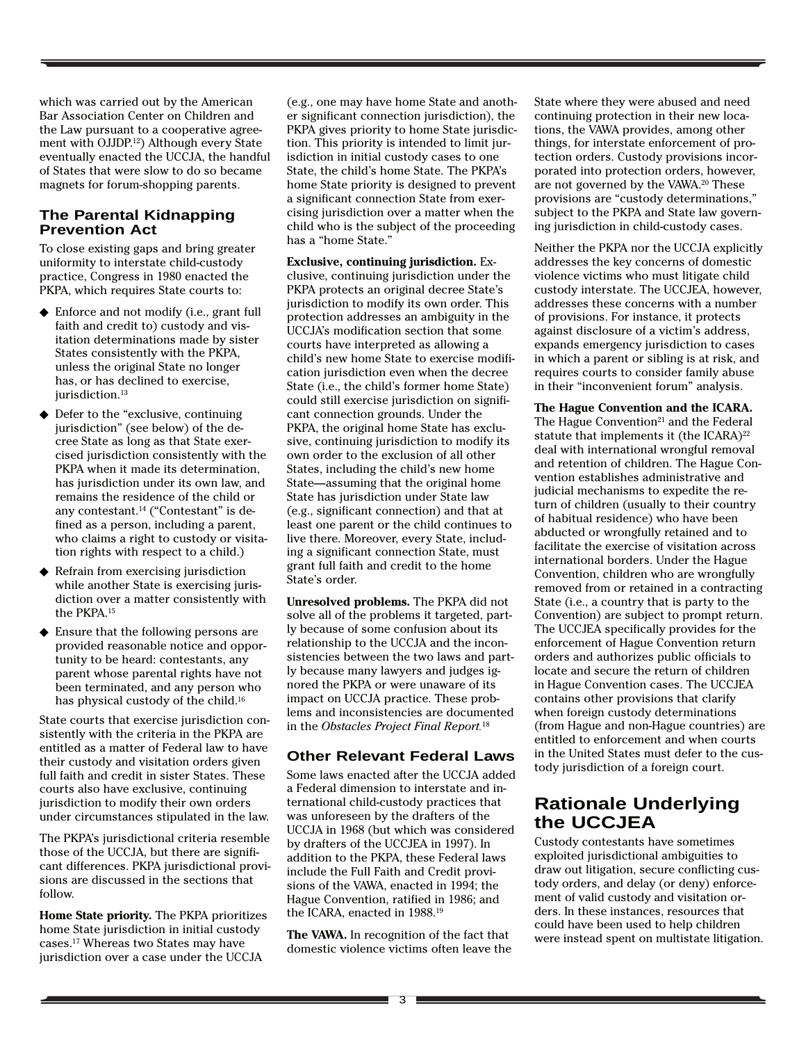which was carried out by the American Bar Association Center on Children and the Law pursuant to a cooperative agreement with OJJDP.12) Although every State eventually enacted the UCCJA, the handful of States that were slow to do so became magnets for forum-shopping parents.

#### **The Parental Kidnapping Prevention Act**

To close existing gaps and bring greater uniformity to interstate child-custody practice, Congress in 1980 enacted the PKPA, which requires State courts to:

- ◆ Enforce and not modify (i.e., grant full faith and credit to) custody and visitation determinations made by sister States consistently with the PKPA, unless the original State no longer has, or has declined to exercise, jurisdiction.<sup>13</sup>
- ◆ Defer to the "exclusive, continuing jurisdiction" (see below) of the decree State as long as that State exercised jurisdiction consistently with the PKPA when it made its determination, has jurisdiction under its own law, and remains the residence of the child or any contestant.14 ("Contestant" is defined as a person, including a parent, who claims a right to custody or visitation rights with respect to a child.)
- ◆ Refrain from exercising jurisdiction while another State is exercising jurisdiction over a matter consistently with the PKPA.15
- ◆ Ensure that the following persons are provided reasonable notice and opportunity to be heard: contestants, any parent whose parental rights have not been terminated, and any person who has physical custody of the child.16

State courts that exercise jurisdiction consistently with the criteria in the PKPA are entitled as a matter of Federal law to have their custody and visitation orders given full faith and credit in sister States. These courts also have exclusive, continuing jurisdiction to modify their own orders under circumstances stipulated in the law.

The PKPA's jurisdictional criteria resemble those of the UCCJA, but there are significant differences. PKPA jurisdictional provisions are discussed in the sections that follow.

**Home State priority.** The PKPA prioritizes home State jurisdiction in initial custody cases.17 Whereas two States may have jurisdiction over a case under the UCCJA

(e.g., one may have home State and another significant connection jurisdiction), the PKPA gives priority to home State jurisdiction. This priority is intended to limit jurisdiction in initial custody cases to one State, the child's home State. The PKPA's home State priority is designed to prevent a significant connection State from exercising jurisdiction over a matter when the child who is the subject of the proceeding has a "home State."

**Exclusive, continuing jurisdiction.** Exclusive, continuing jurisdiction under the PKPA protects an original decree State's jurisdiction to modify its own order. This protection addresses an ambiguity in the UCCJA's modification section that some courts have interpreted as allowing a child's new home State to exercise modification jurisdiction even when the decree State (i.e., the child's former home State) could still exercise jurisdiction on significant connection grounds. Under the PKPA, the original home State has exclusive, continuing jurisdiction to modify its own order to the exclusion of all other States, including the child's new home State—assuming that the original home State has jurisdiction under State law (e.g., significant connection) and that at least one parent or the child continues to live there. Moreover, every State, including a significant connection State, must grant full faith and credit to the home State's order.

**Unresolved problems.** The PKPA did not solve all of the problems it targeted, partly because of some confusion about its relationship to the UCCJA and the inconsistencies between the two laws and partly because many lawyers and judges ignored the PKPA or were unaware of its impact on UCCJA practice. These problems and inconsistencies are documented in the *Obstacles Project Final Report.*<sup>18</sup>

#### **Other Relevant Federal Laws**

Some laws enacted after the UCCJA added a Federal dimension to interstate and international child-custody practices that was unforeseen by the drafters of the UCCJA in 1968 (but which was considered by drafters of the UCCJEA in 1997). In addition to the PKPA, these Federal laws include the Full Faith and Credit provisions of the VAWA, enacted in 1994; the Hague Convention, ratified in 1986; and the ICARA, enacted in 1988.19

**The VAWA.** In recognition of the fact that domestic violence victims often leave the State where they were abused and need continuing protection in their new locations, the VAWA provides, among other things, for interstate enforcement of protection orders. Custody provisions incorporated into protection orders, however, are not governed by the VAWA.20 These provisions are "custody determinations," subject to the PKPA and State law governing jurisdiction in child-custody cases.

Neither the PKPA nor the UCCJA explicitly addresses the key concerns of domestic violence victims who must litigate child custody interstate. The UCCJEA, however, addresses these concerns with a number of provisions. For instance, it protects against disclosure of a victim's address, expands emergency jurisdiction to cases in which a parent or sibling is at risk, and requires courts to consider family abuse in their "inconvenient forum" analysis.

#### **The Hague Convention and the ICARA.**

The Hague Convention<sup>21</sup> and the Federal statute that implements it (the ICARA)<sup>22</sup> deal with international wrongful removal and retention of children. The Hague Convention establishes administrative and judicial mechanisms to expedite the return of children (usually to their country of habitual residence) who have been abducted or wrongfully retained and to facilitate the exercise of visitation across international borders. Under the Hague Convention, children who are wrongfully removed from or retained in a contracting State (i.e., a country that is party to the Convention) are subject to prompt return. The UCCJEA specifically provides for the enforcement of Hague Convention return orders and authorizes public officials to locate and secure the return of children in Hague Convention cases. The UCCJEA contains other provisions that clarify when foreign custody determinations (from Hague and non-Hague countries) are entitled to enforcement and when courts in the United States must defer to the custody jurisdiction of a foreign court.

# **Rationale Underlying the UCCJEA**

Custody contestants have sometimes exploited jurisdictional ambiguities to draw out litigation, secure conflicting custody orders, and delay (or deny) enforcement of valid custody and visitation orders. In these instances, resources that could have been used to help children were instead spent on multistate litigation.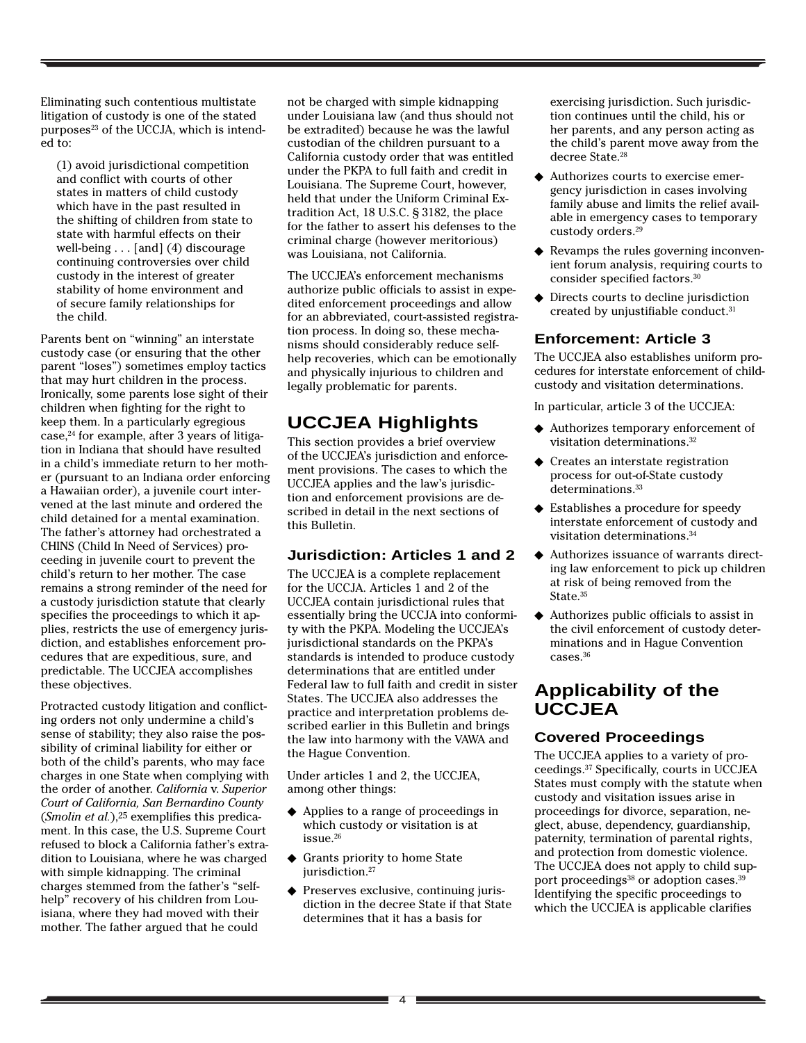Eliminating such contentious multistate litigation of custody is one of the stated purposes<sup>23</sup> of the UCCJA, which is intended to:

(1) avoid jurisdictional competition and conflict with courts of other states in matters of child custody which have in the past resulted in the shifting of children from state to state with harmful effects on their well-being . . . [and] (4) discourage continuing controversies over child custody in the interest of greater stability of home environment and of secure family relationships for the child.

Parents bent on "winning" an interstate custody case (or ensuring that the other parent "loses") sometimes employ tactics that may hurt children in the process. Ironically, some parents lose sight of their children when fighting for the right to keep them. In a particularly egregious case,24 for example, after 3 years of litigation in Indiana that should have resulted in a child's immediate return to her mother (pursuant to an Indiana order enforcing a Hawaiian order), a juvenile court intervened at the last minute and ordered the child detained for a mental examination. The father's attorney had orchestrated a CHINS (Child In Need of Services) proceeding in juvenile court to prevent the child's return to her mother. The case remains a strong reminder of the need for a custody jurisdiction statute that clearly specifies the proceedings to which it applies, restricts the use of emergency jurisdiction, and establishes enforcement procedures that are expeditious, sure, and predictable. The UCCJEA accomplishes these objectives.

Protracted custody litigation and conflicting orders not only undermine a child's sense of stability; they also raise the possibility of criminal liability for either or both of the child's parents, who may face charges in one State when complying with the order of another. *California* v. *Superior Court of California, San Bernardino County* (*Smolin et al.*),25 exemplifies this predicament. In this case, the U.S. Supreme Court refused to block a California father's extradition to Louisiana, where he was charged with simple kidnapping. The criminal charges stemmed from the father's "selfhelp" recovery of his children from Louisiana, where they had moved with their mother. The father argued that he could

not be charged with simple kidnapping under Louisiana law (and thus should not be extradited) because he was the lawful custodian of the children pursuant to a California custody order that was entitled under the PKPA to full faith and credit in Louisiana. The Supreme Court, however, held that under the Uniform Criminal Extradition Act, 18 U.S.C. § 3182, the place for the father to assert his defenses to the criminal charge (however meritorious) was Louisiana, not California.

The UCCJEA's enforcement mechanisms authorize public officials to assist in expedited enforcement proceedings and allow for an abbreviated, court-assisted registration process. In doing so, these mechanisms should considerably reduce selfhelp recoveries, which can be emotionally and physically injurious to children and legally problematic for parents.

# **UCCJEA Highlights**

This section provides a brief overview of the UCCJEA's jurisdiction and enforcement provisions. The cases to which the UCCJEA applies and the law's jurisdiction and enforcement provisions are described in detail in the next sections of this Bulletin.

### **Jurisdiction: Articles 1 and 2**

The UCCJEA is a complete replacement for the UCCJA. Articles 1 and 2 of the UCCJEA contain jurisdictional rules that essentially bring the UCCJA into conformity with the PKPA. Modeling the UCCJEA's jurisdictional standards on the PKPA's standards is intended to produce custody determinations that are entitled under Federal law to full faith and credit in sister States. The UCCJEA also addresses the practice and interpretation problems described earlier in this Bulletin and brings the law into harmony with the VAWA and the Hague Convention.

Under articles 1 and 2, the UCCJEA, among other things:

- ◆ Applies to a range of proceedings in which custody or visitation is at issue.26
- ◆ Grants priority to home State jurisdiction.<sup>27</sup>
- ◆ Preserves exclusive, continuing jurisdiction in the decree State if that State determines that it has a basis for

exercising jurisdiction. Such jurisdiction continues until the child, his or her parents, and any person acting as the child's parent move away from the decree State.28

- ◆ Authorizes courts to exercise emergency jurisdiction in cases involving family abuse and limits the relief available in emergency cases to temporary custody orders.29
- ◆ Revamps the rules governing inconvenient forum analysis, requiring courts to consider specified factors.30
- ◆ Directs courts to decline jurisdiction created by unjustifiable conduct.31

### **Enforcement: Article 3**

The UCCJEA also establishes uniform procedures for interstate enforcement of childcustody and visitation determinations.

In particular, article 3 of the UCCJEA:

- ◆ Authorizes temporary enforcement of visitation determinations.32
- ◆ Creates an interstate registration process for out-of-State custody determinations.<sup>33</sup>
- ◆ Establishes a procedure for speedy interstate enforcement of custody and visitation determinations.34
- ◆ Authorizes issuance of warrants directing law enforcement to pick up children at risk of being removed from the State.<sup>35</sup>
- ◆ Authorizes public officials to assist in the civil enforcement of custody determinations and in Hague Convention cases.36

# **Applicability of the UCCJEA**

### **Covered Proceedings**

The UCCJEA applies to a variety of proceedings.37 Specifically, courts in UCCJEA States must comply with the statute when custody and visitation issues arise in proceedings for divorce, separation, neglect, abuse, dependency, guardianship, paternity, termination of parental rights, and protection from domestic violence. The UCCJEA does not apply to child support proceedings<sup>38</sup> or adoption cases.<sup>39</sup> Identifying the specific proceedings to which the UCCJEA is applicable clarifies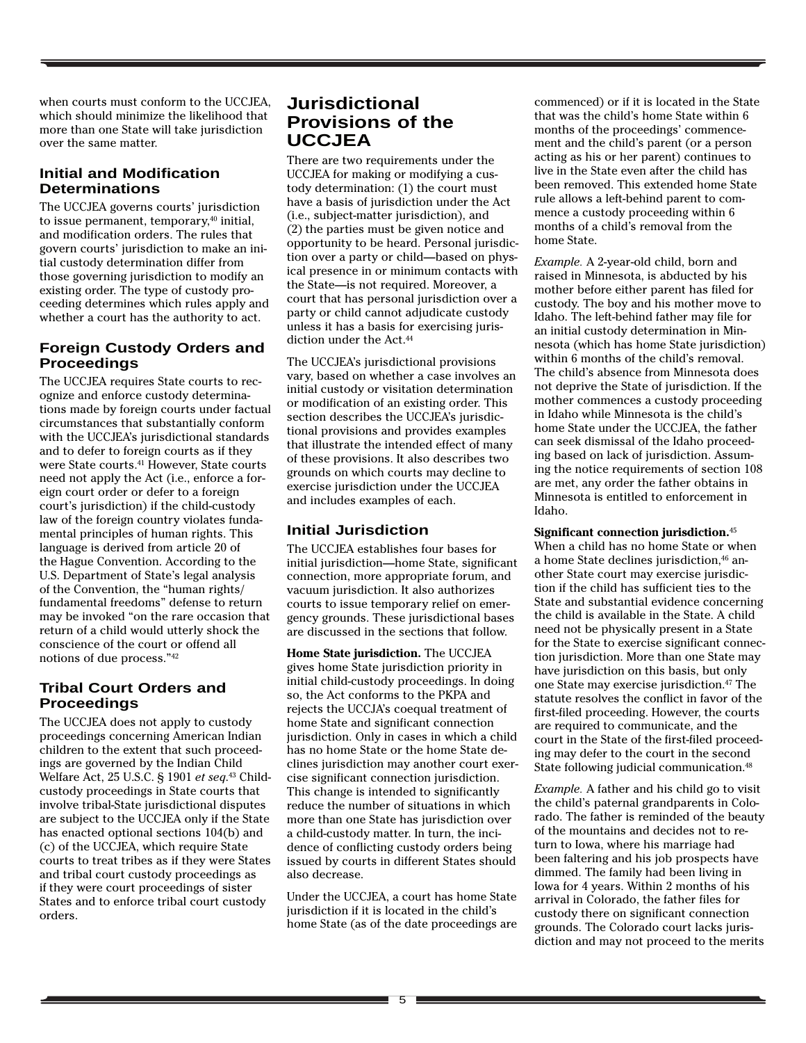when courts must conform to the UCCJEA, which should minimize the likelihood that more than one State will take jurisdiction over the same matter.

#### **Initial and Modification Determinations**

The UCCJEA governs courts' jurisdiction to issue permanent, temporary, $40$  initial, and modification orders. The rules that govern courts' jurisdiction to make an initial custody determination differ from those governing jurisdiction to modify an existing order. The type of custody proceeding determines which rules apply and whether a court has the authority to act.

#### **Foreign Custody Orders and Proceedings**

The UCCJEA requires State courts to recognize and enforce custody determinations made by foreign courts under factual circumstances that substantially conform with the UCCJEA's jurisdictional standards and to defer to foreign courts as if they were State courts.<sup>41</sup> However, State courts need not apply the Act (i.e., enforce a foreign court order or defer to a foreign court's jurisdiction) if the child-custody law of the foreign country violates fundamental principles of human rights. This language is derived from article 20 of the Hague Convention. According to the U.S. Department of State's legal analysis of the Convention, the "human rights/ fundamental freedoms" defense to return may be invoked "on the rare occasion that return of a child would utterly shock the conscience of the court or offend all notions of due process."42

### **Tribal Court Orders and Proceedings**

The UCCJEA does not apply to custody proceedings concerning American Indian children to the extent that such proceedings are governed by the Indian Child Welfare Act, 25 U.S.C. § 1901 *et seq*. <sup>43</sup> Childcustody proceedings in State courts that involve tribal-State jurisdictional disputes are subject to the UCCJEA only if the State has enacted optional sections 104(b) and (c) of the UCCJEA, which require State courts to treat tribes as if they were States and tribal court custody proceedings as if they were court proceedings of sister States and to enforce tribal court custody orders.

# **Jurisdictional Provisions of the UCCJEA**

There are two requirements under the UCCJEA for making or modifying a custody determination: (1) the court must have a basis of jurisdiction under the Act (i.e., subject-matter jurisdiction), and (2) the parties must be given notice and opportunity to be heard. Personal jurisdiction over a party or child—based on physical presence in or minimum contacts with the State—is not required. Moreover, a court that has personal jurisdiction over a party or child cannot adjudicate custody unless it has a basis for exercising jurisdiction under the Act.<sup>44</sup>

The UCCJEA's jurisdictional provisions vary, based on whether a case involves an initial custody or visitation determination or modification of an existing order. This section describes the UCCJEA's jurisdictional provisions and provides examples that illustrate the intended effect of many of these provisions. It also describes two grounds on which courts may decline to exercise jurisdiction under the UCCJEA and includes examples of each.

### **Initial Jurisdiction**

The UCCJEA establishes four bases for initial jurisdiction—home State, significant connection, more appropriate forum, and vacuum jurisdiction. It also authorizes courts to issue temporary relief on emergency grounds. These jurisdictional bases are discussed in the sections that follow.

**Home State jurisdiction.** The UCCJEA gives home State jurisdiction priority in initial child-custody proceedings. In doing so, the Act conforms to the PKPA and rejects the UCCJA's coequal treatment of home State and significant connection jurisdiction. Only in cases in which a child has no home State or the home State declines jurisdiction may another court exercise significant connection jurisdiction. This change is intended to significantly reduce the number of situations in which more than one State has jurisdiction over a child-custody matter. In turn, the incidence of conflicting custody orders being issued by courts in different States should also decrease.

Under the UCCJEA, a court has home State jurisdiction if it is located in the child's home State (as of the date proceedings are commenced) or if it is located in the State that was the child's home State within 6 months of the proceedings' commencement and the child's parent (or a person acting as his or her parent) continues to live in the State even after the child has been removed. This extended home State rule allows a left-behind parent to commence a custody proceeding within 6 months of a child's removal from the home State.

*Example.* A 2-year-old child, born and raised in Minnesota, is abducted by his mother before either parent has filed for custody. The boy and his mother move to Idaho. The left-behind father may file for an initial custody determination in Minnesota (which has home State jurisdiction) within 6 months of the child's removal. The child's absence from Minnesota does not deprive the State of jurisdiction. If the mother commences a custody proceeding in Idaho while Minnesota is the child's home State under the UCCJEA, the father can seek dismissal of the Idaho proceeding based on lack of jurisdiction. Assuming the notice requirements of section 108 are met, any order the father obtains in Minnesota is entitled to enforcement in Idaho.

**Significant connection jurisdiction.**<sup>45</sup>

When a child has no home State or when a home State declines jurisdiction,<sup>46</sup> another State court may exercise jurisdiction if the child has sufficient ties to the State and substantial evidence concerning the child is available in the State. A child need not be physically present in a State for the State to exercise significant connection jurisdiction. More than one State may have jurisdiction on this basis, but only one State may exercise jurisdiction.47 The statute resolves the conflict in favor of the first-filed proceeding. However, the courts are required to communicate, and the court in the State of the first-filed proceeding may defer to the court in the second State following judicial communication.<sup>48</sup>

*Example.* A father and his child go to visit the child's paternal grandparents in Colorado. The father is reminded of the beauty of the mountains and decides not to return to Iowa, where his marriage had been faltering and his job prospects have dimmed. The family had been living in Iowa for 4 years. Within 2 months of his arrival in Colorado, the father files for custody there on significant connection grounds. The Colorado court lacks jurisdiction and may not proceed to the merits

5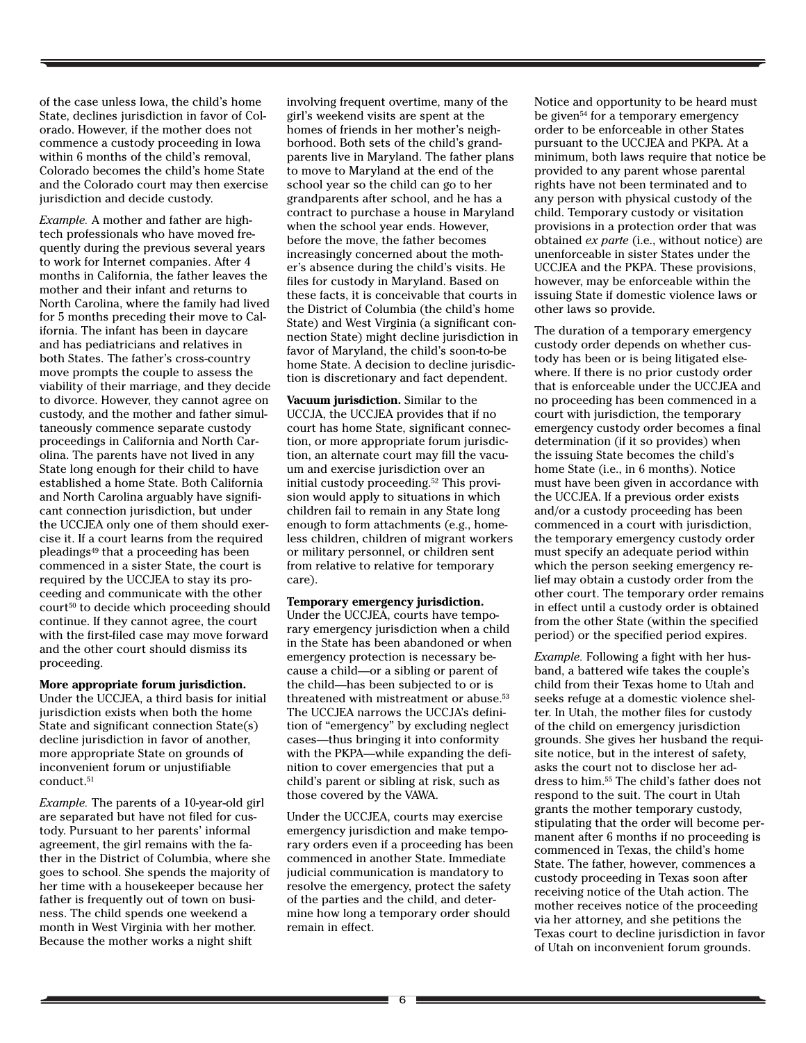of the case unless Iowa, the child's home State, declines jurisdiction in favor of Colorado. However, if the mother does not commence a custody proceeding in Iowa within 6 months of the child's removal, Colorado becomes the child's home State and the Colorado court may then exercise jurisdiction and decide custody.

*Example.* A mother and father are hightech professionals who have moved frequently during the previous several years to work for Internet companies. After 4 months in California, the father leaves the mother and their infant and returns to North Carolina, where the family had lived for 5 months preceding their move to California. The infant has been in daycare and has pediatricians and relatives in both States. The father's cross-country move prompts the couple to assess the viability of their marriage, and they decide to divorce. However, they cannot agree on custody, and the mother and father simultaneously commence separate custody proceedings in California and North Carolina. The parents have not lived in any State long enough for their child to have established a home State. Both California and North Carolina arguably have significant connection jurisdiction, but under the UCCJEA only one of them should exercise it. If a court learns from the required pleadings49 that a proceeding has been commenced in a sister State, the court is required by the UCCJEA to stay its proceeding and communicate with the other court50 to decide which proceeding should continue. If they cannot agree, the court with the first-filed case may move forward and the other court should dismiss its proceeding.

#### **More appropriate forum jurisdiction.**

Under the UCCJEA, a third basis for initial jurisdiction exists when both the home State and significant connection State(s) decline jurisdiction in favor of another, more appropriate State on grounds of inconvenient forum or unjustifiable conduct.<sup>51</sup>

*Example.* The parents of a 10-year-old girl are separated but have not filed for custody. Pursuant to her parents' informal agreement, the girl remains with the father in the District of Columbia, where she goes to school. She spends the majority of her time with a housekeeper because her father is frequently out of town on business. The child spends one weekend a month in West Virginia with her mother. Because the mother works a night shift

involving frequent overtime, many of the girl's weekend visits are spent at the homes of friends in her mother's neighborhood. Both sets of the child's grandparents live in Maryland. The father plans to move to Maryland at the end of the school year so the child can go to her grandparents after school, and he has a contract to purchase a house in Maryland when the school year ends. However, before the move, the father becomes increasingly concerned about the mother's absence during the child's visits. He files for custody in Maryland. Based on these facts, it is conceivable that courts in the District of Columbia (the child's home State) and West Virginia (a significant connection State) might decline jurisdiction in favor of Maryland, the child's soon-to-be home State. A decision to decline jurisdiction is discretionary and fact dependent.

**Vacuum jurisdiction.** Similar to the UCCJA, the UCCJEA provides that if no court has home State, significant connection, or more appropriate forum jurisdiction, an alternate court may fill the vacuum and exercise jurisdiction over an initial custody proceeding.52 This provision would apply to situations in which children fail to remain in any State long enough to form attachments (e.g., homeless children, children of migrant workers or military personnel, or children sent from relative to relative for temporary care).

#### **Temporary emergency jurisdiction.**

Under the UCCJEA, courts have temporary emergency jurisdiction when a child in the State has been abandoned or when emergency protection is necessary because a child—or a sibling or parent of the child—has been subjected to or is threatened with mistreatment or abuse.<sup>53</sup> The UCCJEA narrows the UCCJA's definition of "emergency" by excluding neglect cases—thus bringing it into conformity with the PKPA—while expanding the definition to cover emergencies that put a child's parent or sibling at risk, such as those covered by the VAWA.

Under the UCCJEA, courts may exercise emergency jurisdiction and make temporary orders even if a proceeding has been commenced in another State. Immediate judicial communication is mandatory to resolve the emergency, protect the safety of the parties and the child, and determine how long a temporary order should remain in effect.

Notice and opportunity to be heard must be given<sup>54</sup> for a temporary emergency order to be enforceable in other States pursuant to the UCCJEA and PKPA. At a minimum, both laws require that notice be provided to any parent whose parental rights have not been terminated and to any person with physical custody of the child. Temporary custody or visitation provisions in a protection order that was obtained *ex parte* (i.e., without notice) are unenforceable in sister States under the UCCJEA and the PKPA. These provisions, however, may be enforceable within the issuing State if domestic violence laws or other laws so provide.

The duration of a temporary emergency custody order depends on whether custody has been or is being litigated elsewhere. If there is no prior custody order that is enforceable under the UCCJEA and no proceeding has been commenced in a court with jurisdiction, the temporary emergency custody order becomes a final determination (if it so provides) when the issuing State becomes the child's home State (i.e., in 6 months). Notice must have been given in accordance with the UCCJEA. If a previous order exists and/or a custody proceeding has been commenced in a court with jurisdiction, the temporary emergency custody order must specify an adequate period within which the person seeking emergency relief may obtain a custody order from the other court. The temporary order remains in effect until a custody order is obtained from the other State (within the specified period) or the specified period expires.

*Example.* Following a fight with her husband, a battered wife takes the couple's child from their Texas home to Utah and seeks refuge at a domestic violence shelter. In Utah, the mother files for custody of the child on emergency jurisdiction grounds. She gives her husband the requisite notice, but in the interest of safety, asks the court not to disclose her address to him.55 The child's father does not respond to the suit. The court in Utah grants the mother temporary custody, stipulating that the order will become permanent after 6 months if no proceeding is commenced in Texas, the child's home State. The father, however, commences a custody proceeding in Texas soon after receiving notice of the Utah action. The mother receives notice of the proceeding via her attorney, and she petitions the Texas court to decline jurisdiction in favor of Utah on inconvenient forum grounds.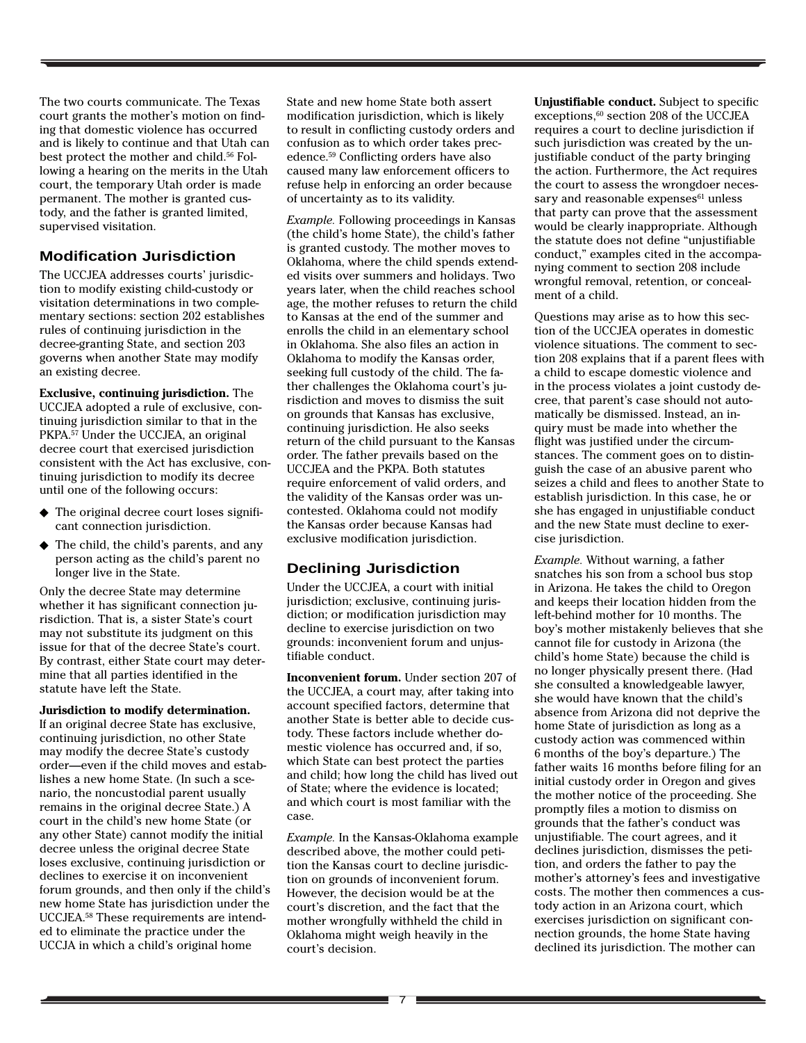The two courts communicate. The Texas court grants the mother's motion on finding that domestic violence has occurred and is likely to continue and that Utah can best protect the mother and child.<sup>56</sup> Following a hearing on the merits in the Utah court, the temporary Utah order is made permanent. The mother is granted custody, and the father is granted limited, supervised visitation.

#### **Modification Jurisdiction**

The UCCJEA addresses courts' jurisdiction to modify existing child-custody or visitation determinations in two complementary sections: section 202 establishes rules of continuing jurisdiction in the decree-granting State, and section 203 governs when another State may modify an existing decree.

**Exclusive, continuing jurisdiction.** The UCCJEA adopted a rule of exclusive, continuing jurisdiction similar to that in the PKPA.57 Under the UCCJEA, an original decree court that exercised jurisdiction consistent with the Act has exclusive, continuing jurisdiction to modify its decree until one of the following occurs:

- ◆ The original decree court loses significant connection jurisdiction.
- ◆ The child, the child's parents, and any person acting as the child's parent no longer live in the State.

Only the decree State may determine whether it has significant connection jurisdiction. That is, a sister State's court may not substitute its judgment on this issue for that of the decree State's court. By contrast, either State court may determine that all parties identified in the statute have left the State.

#### **Jurisdiction to modify determination.**

If an original decree State has exclusive, continuing jurisdiction, no other State may modify the decree State's custody order—even if the child moves and establishes a new home State. (In such a scenario, the noncustodial parent usually remains in the original decree State.) A court in the child's new home State (or any other State) cannot modify the initial decree unless the original decree State loses exclusive, continuing jurisdiction or declines to exercise it on inconvenient forum grounds, and then only if the child's new home State has jurisdiction under the UCCJEA.58 These requirements are intended to eliminate the practice under the UCCJA in which a child's original home

State and new home State both assert modification jurisdiction, which is likely to result in conflicting custody orders and confusion as to which order takes precedence.59 Conflicting orders have also caused many law enforcement officers to refuse help in enforcing an order because of uncertainty as to its validity.

*Example.* Following proceedings in Kansas (the child's home State), the child's father is granted custody. The mother moves to Oklahoma, where the child spends extended visits over summers and holidays. Two years later, when the child reaches school age, the mother refuses to return the child to Kansas at the end of the summer and enrolls the child in an elementary school in Oklahoma. She also files an action in Oklahoma to modify the Kansas order, seeking full custody of the child. The father challenges the Oklahoma court's jurisdiction and moves to dismiss the suit on grounds that Kansas has exclusive, continuing jurisdiction. He also seeks return of the child pursuant to the Kansas order. The father prevails based on the UCCJEA and the PKPA. Both statutes require enforcement of valid orders, and the validity of the Kansas order was uncontested. Oklahoma could not modify the Kansas order because Kansas had exclusive modification jurisdiction.

#### **Declining Jurisdiction**

Under the UCCJEA, a court with initial jurisdiction; exclusive, continuing jurisdiction; or modification jurisdiction may decline to exercise jurisdiction on two grounds: inconvenient forum and unjustifiable conduct.

**Inconvenient forum.** Under section 207 of the UCCJEA, a court may, after taking into account specified factors, determine that another State is better able to decide custody. These factors include whether domestic violence has occurred and, if so, which State can best protect the parties and child; how long the child has lived out of State; where the evidence is located; and which court is most familiar with the case.

*Example.* In the Kansas-Oklahoma example described above, the mother could petition the Kansas court to decline jurisdiction on grounds of inconvenient forum. However, the decision would be at the court's discretion, and the fact that the mother wrongfully withheld the child in Oklahoma might weigh heavily in the court's decision.

**Unjustifiable conduct.** Subject to specific exceptions,<sup>60</sup> section 208 of the UCCJEA requires a court to decline jurisdiction if such jurisdiction was created by the unjustifiable conduct of the party bringing the action. Furthermore, the Act requires the court to assess the wrongdoer necessary and reasonable expenses $61$  unless that party can prove that the assessment would be clearly inappropriate. Although the statute does not define "unjustifiable conduct," examples cited in the accompanying comment to section 208 include wrongful removal, retention, or concealment of a child.

Questions may arise as to how this section of the UCCJEA operates in domestic violence situations. The comment to section 208 explains that if a parent flees with a child to escape domestic violence and in the process violates a joint custody decree, that parent's case should not automatically be dismissed. Instead, an inquiry must be made into whether the flight was justified under the circumstances. The comment goes on to distinguish the case of an abusive parent who seizes a child and flees to another State to establish jurisdiction. In this case, he or she has engaged in unjustifiable conduct and the new State must decline to exercise jurisdiction.

*Example.* Without warning, a father snatches his son from a school bus stop in Arizona. He takes the child to Oregon and keeps their location hidden from the left-behind mother for 10 months. The boy's mother mistakenly believes that she cannot file for custody in Arizona (the child's home State) because the child is no longer physically present there. (Had she consulted a knowledgeable lawyer, she would have known that the child's absence from Arizona did not deprive the home State of jurisdiction as long as a custody action was commenced within 6 months of the boy's departure.) The father waits 16 months before filing for an initial custody order in Oregon and gives the mother notice of the proceeding. She promptly files a motion to dismiss on grounds that the father's conduct was unjustifiable. The court agrees, and it declines jurisdiction, dismisses the petition, and orders the father to pay the mother's attorney's fees and investigative costs. The mother then commences a custody action in an Arizona court, which exercises jurisdiction on significant connection grounds, the home State having declined its jurisdiction. The mother can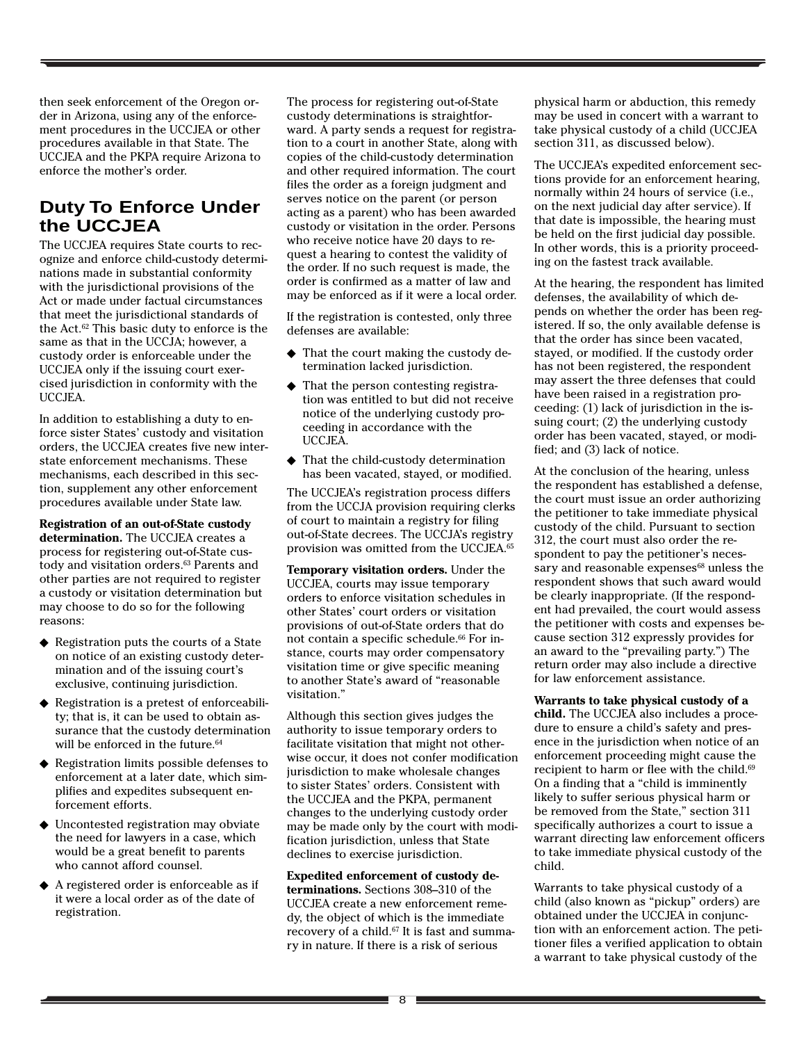then seek enforcement of the Oregon order in Arizona, using any of the enforcement procedures in the UCCJEA or other procedures available in that State. The UCCJEA and the PKPA require Arizona to enforce the mother's order.

# **Duty To Enforce Under the UCCJEA**

The UCCJEA requires State courts to recognize and enforce child-custody determinations made in substantial conformity with the jurisdictional provisions of the Act or made under factual circumstances that meet the jurisdictional standards of the Act.62 This basic duty to enforce is the same as that in the UCCJA; however, a custody order is enforceable under the UCCJEA only if the issuing court exercised jurisdiction in conformity with the UCCJEA.

In addition to establishing a duty to enforce sister States' custody and visitation orders, the UCCJEA creates five new interstate enforcement mechanisms. These mechanisms, each described in this section, supplement any other enforcement procedures available under State law.

**Registration of an out-of-State custody determination.** The UCCJEA creates a process for registering out-of-State custody and visitation orders.<sup>63</sup> Parents and other parties are not required to register a custody or visitation determination but may choose to do so for the following reasons:

- ◆ Registration puts the courts of a State on notice of an existing custody determination and of the issuing court's exclusive, continuing jurisdiction.
- ◆ Registration is a pretest of enforceability; that is, it can be used to obtain assurance that the custody determination will be enforced in the future.<sup>64</sup>
- ◆ Registration limits possible defenses to enforcement at a later date, which simplifies and expedites subsequent enforcement efforts.
- ◆ Uncontested registration may obviate the need for lawyers in a case, which would be a great benefit to parents who cannot afford counsel.
- ◆ A registered order is enforceable as if it were a local order as of the date of registration.

The process for registering out-of-State custody determinations is straightforward. A party sends a request for registration to a court in another State, along with copies of the child-custody determination and other required information. The court files the order as a foreign judgment and serves notice on the parent (or person acting as a parent) who has been awarded custody or visitation in the order. Persons who receive notice have 20 days to request a hearing to contest the validity of the order. If no such request is made, the order is confirmed as a matter of law and may be enforced as if it were a local order.

If the registration is contested, only three defenses are available:

- ◆ That the court making the custody determination lacked jurisdiction.
- ◆ That the person contesting registration was entitled to but did not receive notice of the underlying custody proceeding in accordance with the UCCJEA.
- ◆ That the child-custody determination has been vacated, stayed, or modified.

The UCCJEA's registration process differs from the UCCJA provision requiring clerks of court to maintain a registry for filing out-of-State decrees. The UCCJA's registry provision was omitted from the UCCJEA.65

**Temporary visitation orders.** Under the UCCJEA, courts may issue temporary orders to enforce visitation schedules in other States' court orders or visitation provisions of out-of-State orders that do not contain a specific schedule.<sup>66</sup> For instance, courts may order compensatory visitation time or give specific meaning to another State's award of "reasonable visitation."

Although this section gives judges the authority to issue temporary orders to facilitate visitation that might not otherwise occur, it does not confer modification jurisdiction to make wholesale changes to sister States' orders. Consistent with the UCCJEA and the PKPA, permanent changes to the underlying custody order may be made only by the court with modification jurisdiction, unless that State declines to exercise jurisdiction.

**Expedited enforcement of custody determinations.** Sections 308–310 of the UCCJEA create a new enforcement remedy, the object of which is the immediate recovery of a child.<sup>67</sup> It is fast and summary in nature. If there is a risk of serious

physical harm or abduction, this remedy may be used in concert with a warrant to take physical custody of a child (UCCJEA section 311, as discussed below).

The UCCJEA's expedited enforcement sections provide for an enforcement hearing, normally within 24 hours of service (i.e., on the next judicial day after service). If that date is impossible, the hearing must be held on the first judicial day possible. In other words, this is a priority proceeding on the fastest track available.

At the hearing, the respondent has limited defenses, the availability of which depends on whether the order has been registered. If so, the only available defense is that the order has since been vacated, stayed, or modified. If the custody order has not been registered, the respondent may assert the three defenses that could have been raised in a registration proceeding: (1) lack of jurisdiction in the issuing court; (2) the underlying custody order has been vacated, stayed, or modified; and (3) lack of notice.

At the conclusion of the hearing, unless the respondent has established a defense, the court must issue an order authorizing the petitioner to take immediate physical custody of the child. Pursuant to section 312, the court must also order the respondent to pay the petitioner's necessary and reasonable expenses $68$  unless the respondent shows that such award would be clearly inappropriate. (If the respondent had prevailed, the court would assess the petitioner with costs and expenses because section 312 expressly provides for an award to the "prevailing party.") The return order may also include a directive for law enforcement assistance.

**Warrants to take physical custody of a child.** The UCCJEA also includes a procedure to ensure a child's safety and presence in the jurisdiction when notice of an enforcement proceeding might cause the recipient to harm or flee with the child.<sup>69</sup> On a finding that a "child is imminently likely to suffer serious physical harm or be removed from the State," section 311 specifically authorizes a court to issue a warrant directing law enforcement officers to take immediate physical custody of the child.

Warrants to take physical custody of a child (also known as "pickup" orders) are obtained under the UCCJEA in conjunction with an enforcement action. The petitioner files a verified application to obtain a warrant to take physical custody of the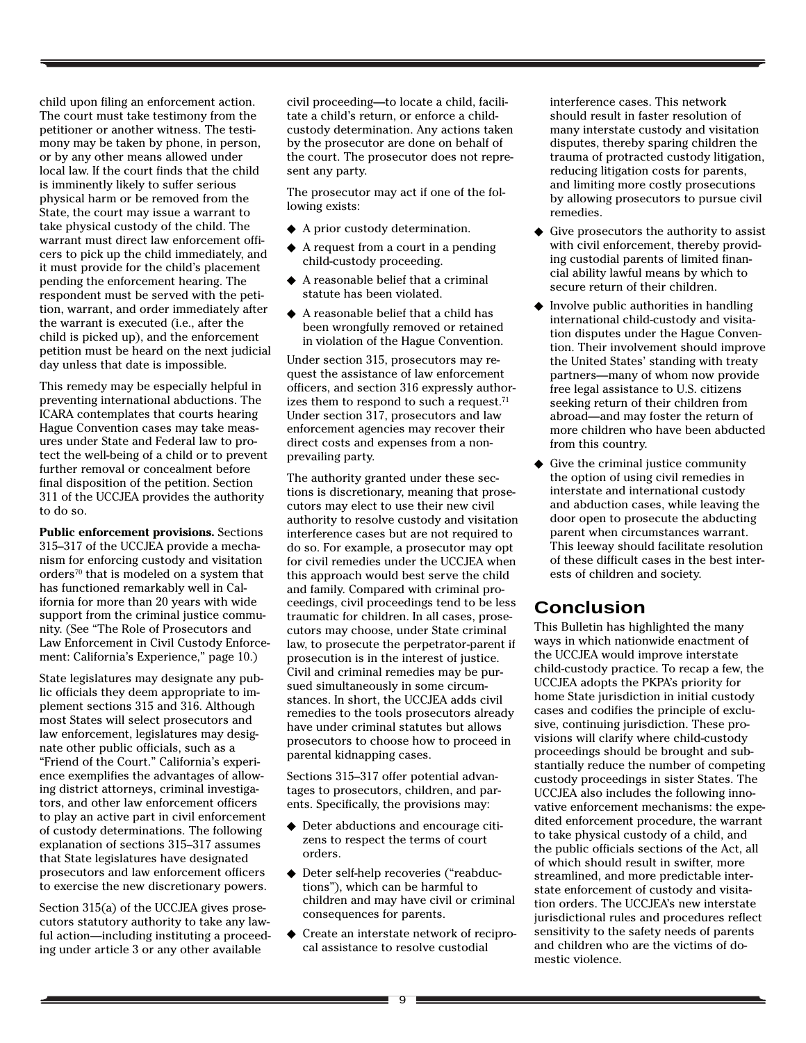child upon filing an enforcement action. The court must take testimony from the petitioner or another witness. The testimony may be taken by phone, in person, or by any other means allowed under local law. If the court finds that the child is imminently likely to suffer serious physical harm or be removed from the State, the court may issue a warrant to take physical custody of the child. The warrant must direct law enforcement officers to pick up the child immediately, and it must provide for the child's placement pending the enforcement hearing. The respondent must be served with the petition, warrant, and order immediately after the warrant is executed (i.e., after the child is picked up), and the enforcement petition must be heard on the next judicial day unless that date is impossible.

This remedy may be especially helpful in preventing international abductions. The ICARA contemplates that courts hearing Hague Convention cases may take measures under State and Federal law to protect the well-being of a child or to prevent further removal or concealment before final disposition of the petition. Section 311 of the UCCJEA provides the authority to do so.

**Public enforcement provisions.** Sections 315–317 of the UCCJEA provide a mechanism for enforcing custody and visitation orders70 that is modeled on a system that has functioned remarkably well in California for more than 20 years with wide support from the criminal justice community. (See "The Role of Prosecutors and Law Enforcement in Civil Custody Enforcement: California's Experience," page 10.)

State legislatures may designate any public officials they deem appropriate to implement sections 315 and 316. Although most States will select prosecutors and law enforcement, legislatures may designate other public officials, such as a "Friend of the Court." California's experience exemplifies the advantages of allowing district attorneys, criminal investigators, and other law enforcement officers to play an active part in civil enforcement of custody determinations. The following explanation of sections 315–317 assumes that State legislatures have designated prosecutors and law enforcement officers to exercise the new discretionary powers.

Section 315(a) of the UCCJEA gives prosecutors statutory authority to take any lawful action—including instituting a proceeding under article 3 or any other available

civil proceeding—to locate a child, facilitate a child's return, or enforce a childcustody determination. Any actions taken by the prosecutor are done on behalf of the court. The prosecutor does not represent any party.

The prosecutor may act if one of the following exists:

- ◆ A prior custody determination.
- ◆ A request from a court in a pending child-custody proceeding.
- ◆ A reasonable belief that a criminal statute has been violated.
- ◆ A reasonable belief that a child has been wrongfully removed or retained in violation of the Hague Convention.

Under section 315, prosecutors may request the assistance of law enforcement officers, and section 316 expressly authorizes them to respond to such a request.<sup>71</sup> Under section 317, prosecutors and law enforcement agencies may recover their direct costs and expenses from a nonprevailing party.

The authority granted under these sections is discretionary, meaning that prosecutors may elect to use their new civil authority to resolve custody and visitation interference cases but are not required to do so. For example, a prosecutor may opt for civil remedies under the UCCJEA when this approach would best serve the child and family. Compared with criminal proceedings, civil proceedings tend to be less traumatic for children. In all cases, prosecutors may choose, under State criminal law, to prosecute the perpetrator-parent if prosecution is in the interest of justice. Civil and criminal remedies may be pursued simultaneously in some circumstances. In short, the UCCJEA adds civil remedies to the tools prosecutors already have under criminal statutes but allows prosecutors to choose how to proceed in parental kidnapping cases.

Sections 315–317 offer potential advantages to prosecutors, children, and parents. Specifically, the provisions may:

- ◆ Deter abductions and encourage citizens to respect the terms of court orders.
- ◆ Deter self-help recoveries ("reabductions"), which can be harmful to children and may have civil or criminal consequences for parents.
- ◆ Create an interstate network of reciprocal assistance to resolve custodial

interference cases. This network should result in faster resolution of many interstate custody and visitation disputes, thereby sparing children the trauma of protracted custody litigation, reducing litigation costs for parents, and limiting more costly prosecutions by allowing prosecutors to pursue civil remedies.

- ◆ Give prosecutors the authority to assist with civil enforcement, thereby providing custodial parents of limited financial ability lawful means by which to secure return of their children.
- ◆ Involve public authorities in handling international child-custody and visitation disputes under the Hague Convention. Their involvement should improve the United States' standing with treaty partners—many of whom now provide free legal assistance to U.S. citizens seeking return of their children from abroad—and may foster the return of more children who have been abducted from this country.
- ◆ Give the criminal justice community the option of using civil remedies in interstate and international custody and abduction cases, while leaving the door open to prosecute the abducting parent when circumstances warrant. This leeway should facilitate resolution of these difficult cases in the best interests of children and society.

# **Conclusion**

This Bulletin has highlighted the many ways in which nationwide enactment of the UCCJEA would improve interstate child-custody practice. To recap a few, the UCCJEA adopts the PKPA's priority for home State jurisdiction in initial custody cases and codifies the principle of exclusive, continuing jurisdiction. These provisions will clarify where child-custody proceedings should be brought and substantially reduce the number of competing custody proceedings in sister States. The UCCJEA also includes the following innovative enforcement mechanisms: the expedited enforcement procedure, the warrant to take physical custody of a child, and the public officials sections of the Act, all of which should result in swifter, more streamlined, and more predictable interstate enforcement of custody and visitation orders. The UCCJEA's new interstate jurisdictional rules and procedures reflect sensitivity to the safety needs of parents and children who are the victims of domestic violence.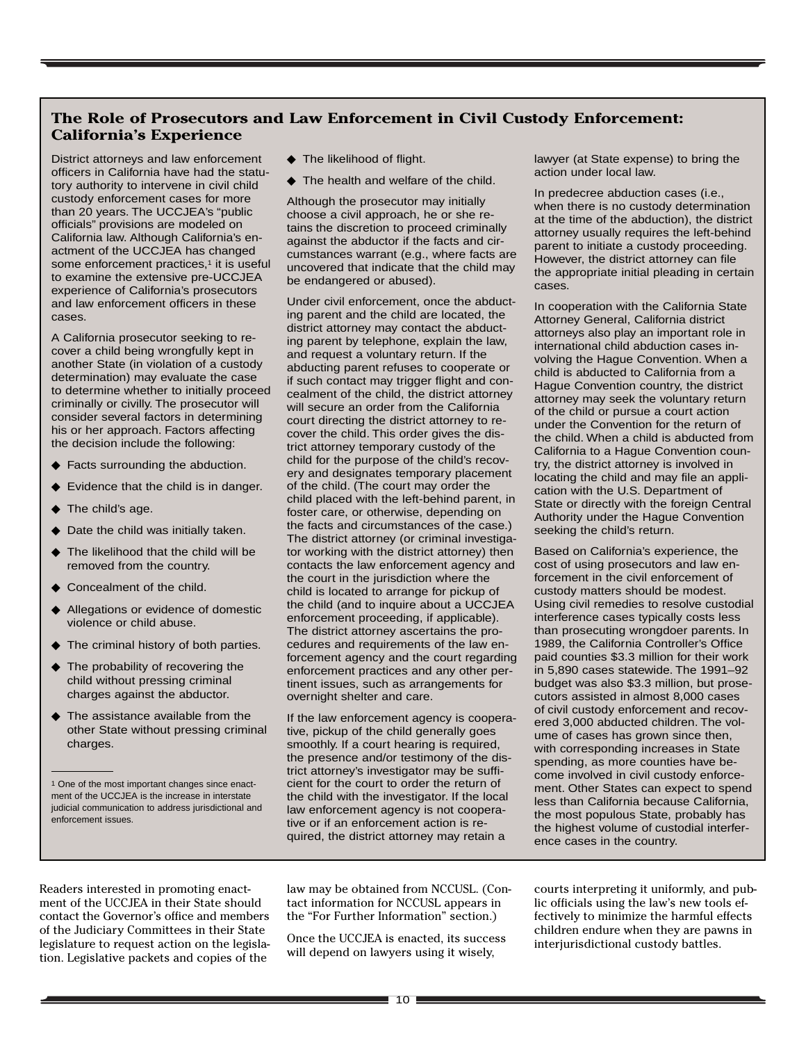### **The Role of Prosecutors and Law Enforcement in Civil Custody Enforcement: California's Experience**

District attorneys and law enforcement officers in California have had the statutory authority to intervene in civil child custody enforcement cases for more than 20 years. The UCCJEA's "public officials" provisions are modeled on California law. Although California's enactment of the UCCJEA has changed some enforcement practices,<sup>1</sup> it is useful to examine the extensive pre-UCCJEA experience of California's prosecutors and law enforcement officers in these cases.

A California prosecutor seeking to recover a child being wrongfully kept in another State (in violation of a custody determination) may evaluate the case to determine whether to initially proceed criminally or civilly. The prosecutor will consider several factors in determining his or her approach. Factors affecting the decision include the following:

- ◆ Facts surrounding the abduction.
- ◆ Evidence that the child is in danger.
- ◆ The child's age.
- ◆ Date the child was initially taken.
- ◆ The likelihood that the child will be removed from the country.
- ◆ Concealment of the child.
- ◆ Allegations or evidence of domestic violence or child abuse.
- ◆ The criminal history of both parties.
- ◆ The probability of recovering the child without pressing criminal charges against the abductor.
- ◆ The assistance available from the other State without pressing criminal charges.

Readers interested in promoting enactment of the UCCJEA in their State should contact the Governor's office and members of the Judiciary Committees in their State legislature to request action on the legislation. Legislative packets and copies of the

- ◆ The likelihood of flight.
- ◆ The health and welfare of the child.

Although the prosecutor may initially choose a civil approach, he or she retains the discretion to proceed criminally against the abductor if the facts and circumstances warrant (e.g., where facts are uncovered that indicate that the child may be endangered or abused).

Under civil enforcement, once the abducting parent and the child are located, the district attorney may contact the abducting parent by telephone, explain the law, and request a voluntary return. If the abducting parent refuses to cooperate or if such contact may trigger flight and concealment of the child, the district attorney will secure an order from the California court directing the district attorney to recover the child. This order gives the district attorney temporary custody of the child for the purpose of the child's recovery and designates temporary placement of the child. (The court may order the child placed with the left-behind parent, in foster care, or otherwise, depending on the facts and circumstances of the case.) The district attorney (or criminal investigator working with the district attorney) then contacts the law enforcement agency and the court in the jurisdiction where the child is located to arrange for pickup of the child (and to inquire about a UCCJEA enforcement proceeding, if applicable). The district attorney ascertains the procedures and requirements of the law enforcement agency and the court regarding enforcement practices and any other pertinent issues, such as arrangements for overnight shelter and care.

If the law enforcement agency is cooperative, pickup of the child generally goes smoothly. If a court hearing is required, the presence and/or testimony of the district attorney's investigator may be sufficient for the court to order the return of the child with the investigator. If the local law enforcement agency is not cooperative or if an enforcement action is required, the district attorney may retain a

law may be obtained from NCCUSL. (Contact information for NCCUSL appears in the "For Further Information" section.)

Once the UCCJEA is enacted, its success will depend on lawyers using it wisely,

lawyer (at State expense) to bring the action under local law.

In predecree abduction cases (i.e., when there is no custody determination at the time of the abduction), the district attorney usually requires the left-behind parent to initiate a custody proceeding. However, the district attorney can file the appropriate initial pleading in certain cases.

In cooperation with the California State Attorney General, California district attorneys also play an important role in international child abduction cases involving the Hague Convention. When a child is abducted to California from a Hague Convention country, the district attorney may seek the voluntary return of the child or pursue a court action under the Convention for the return of the child. When a child is abducted from California to a Hague Convention country, the district attorney is involved in locating the child and may file an application with the U.S. Department of State or directly with the foreign Central Authority under the Hague Convention seeking the child's return.

Based on California's experience, the cost of using prosecutors and law enforcement in the civil enforcement of custody matters should be modest. Using civil remedies to resolve custodial interference cases typically costs less than prosecuting wrongdoer parents. In 1989, the California Controller's Office paid counties \$3.3 million for their work in 5,890 cases statewide. The 1991–92 budget was also \$3.3 million, but prosecutors assisted in almost 8,000 cases of civil custody enforcement and recovered 3,000 abducted children. The volume of cases has grown since then, with corresponding increases in State spending, as more counties have become involved in civil custody enforcement. Other States can expect to spend less than California because California, the most populous State, probably has the highest volume of custodial interference cases in the country.

courts interpreting it uniformly, and public officials using the law's new tools effectively to minimize the harmful effects children endure when they are pawns in interjurisdictional custody battles.

<sup>1</sup> One of the most important changes since enactment of the UCCJEA is the increase in interstate judicial communication to address jurisdictional and enforcement issues.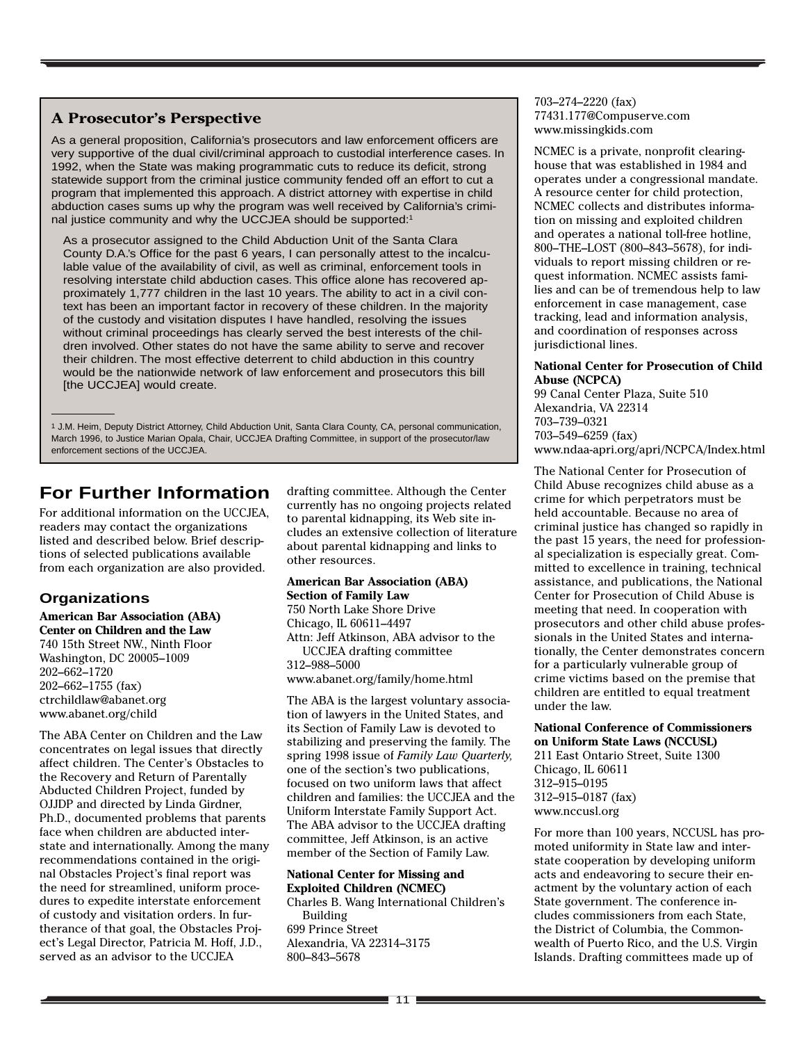### **A Prosecutor's Perspective**

As a general proposition, California's prosecutors and law enforcement officers are very supportive of the dual civil/criminal approach to custodial interference cases. In 1992, when the State was making programmatic cuts to reduce its deficit, strong statewide support from the criminal justice community fended off an effort to cut a program that implemented this approach. A district attorney with expertise in child abduction cases sums up why the program was well received by California's criminal justice community and why the UCCJEA should be supported:<sup>1</sup>

As a prosecutor assigned to the Child Abduction Unit of the Santa Clara County D.A.'s Office for the past 6 years, I can personally attest to the incalculable value of the availability of civil, as well as criminal, enforcement tools in resolving interstate child abduction cases. This office alone has recovered approximately 1,777 children in the last 10 years. The ability to act in a civil context has been an important factor in recovery of these children. In the majority of the custody and visitation disputes I have handled, resolving the issues without criminal proceedings has clearly served the best interests of the children involved. Other states do not have the same ability to serve and recover their children. The most effective deterrent to child abduction in this country would be the nationwide network of law enforcement and prosecutors this bill [the UCCJEA] would create.

1 J.M. Heim, Deputy District Attorney, Child Abduction Unit, Santa Clara County, CA, personal communication, March 1996, to Justice Marian Opala, Chair, UCCJEA Drafting Committee, in support of the prosecutor/law enforcement sections of the UCCJEA.

# **For Further Information**

For additional information on the UCCJEA, readers may contact the organizations listed and described below. Brief descriptions of selected publications available from each organization are also provided.

## **Organizations**

**American Bar Association (ABA) Center on Children and the Law**  740 15th Street NW., Ninth Floor Washington, DC 20005–1009 202–662–1720 202–662–1755 (fax) ctrchildlaw@abanet.org www.abanet.org/child

The ABA Center on Children and the Law concentrates on legal issues that directly affect children. The Center's Obstacles to the Recovery and Return of Parentally Abducted Children Project, funded by OJJDP and directed by Linda Girdner, Ph.D., documented problems that parents face when children are abducted interstate and internationally. Among the many recommendations contained in the original Obstacles Project's final report was the need for streamlined, uniform procedures to expedite interstate enforcement of custody and visitation orders. In furtherance of that goal, the Obstacles Project's Legal Director, Patricia M. Hoff, J.D., served as an advisor to the UCCJEA

drafting committee. Although the Center currently has no ongoing projects related to parental kidnapping, its Web site includes an extensive collection of literature about parental kidnapping and links to other resources.

#### **American Bar Association (ABA) Section of Family Law**

750 North Lake Shore Drive Chicago, IL 60611–4497 Attn: Jeff Atkinson, ABA advisor to the UCCJEA drafting committee 312–988–5000 www.abanet.org/family/home.html

The ABA is the largest voluntary association of lawyers in the United States, and its Section of Family Law is devoted to stabilizing and preserving the family. The spring 1998 issue of *Family Law Quarterly,* one of the section's two publications, focused on two uniform laws that affect children and families: the UCCJEA and the Uniform Interstate Family Support Act. The ABA advisor to the UCCJEA drafting committee, Jeff Atkinson, is an active member of the Section of Family Law.

#### **National Center for Missing and Exploited Children (NCMEC)**

Charles B. Wang International Children's Building 699 Prince Street Alexandria, VA 22314–3175 800–843–5678

703–274–2220 (fax) 77431.177@Compuserve.com www.missingkids.com

NCMEC is a private, nonprofit clearinghouse that was established in 1984 and operates under a congressional mandate. A resource center for child protection, NCMEC collects and distributes information on missing and exploited children and operates a national toll-free hotline, 800–THE–LOST (800–843–5678), for individuals to report missing children or request information. NCMEC assists families and can be of tremendous help to law enforcement in case management, case tracking, lead and information analysis, and coordination of responses across jurisdictional lines.

#### **National Center for Prosecution of Child Abuse (NCPCA)**

99 Canal Center Plaza, Suite 510 Alexandria, VA 22314 703–739–0321 703–549–6259 (fax) www.ndaa-apri.org/apri/NCPCA/Index.html

The National Center for Prosecution of Child Abuse recognizes child abuse as a crime for which perpetrators must be held accountable. Because no area of criminal justice has changed so rapidly in the past 15 years, the need for professional specialization is especially great. Committed to excellence in training, technical assistance, and publications, the National Center for Prosecution of Child Abuse is meeting that need. In cooperation with prosecutors and other child abuse professionals in the United States and internationally, the Center demonstrates concern for a particularly vulnerable group of crime victims based on the premise that children are entitled to equal treatment under the law.

#### **National Conference of Commissioners on Uniform State Laws (NCCUSL)**

211 East Ontario Street, Suite 1300 Chicago, IL 60611 312–915–0195 312–915–0187 (fax) www.nccusl.org

For more than 100 years, NCCUSL has promoted uniformity in State law and interstate cooperation by developing uniform acts and endeavoring to secure their enactment by the voluntary action of each State government. The conference includes commissioners from each State, the District of Columbia, the Commonwealth of Puerto Rico, and the U.S. Virgin Islands. Drafting committees made up of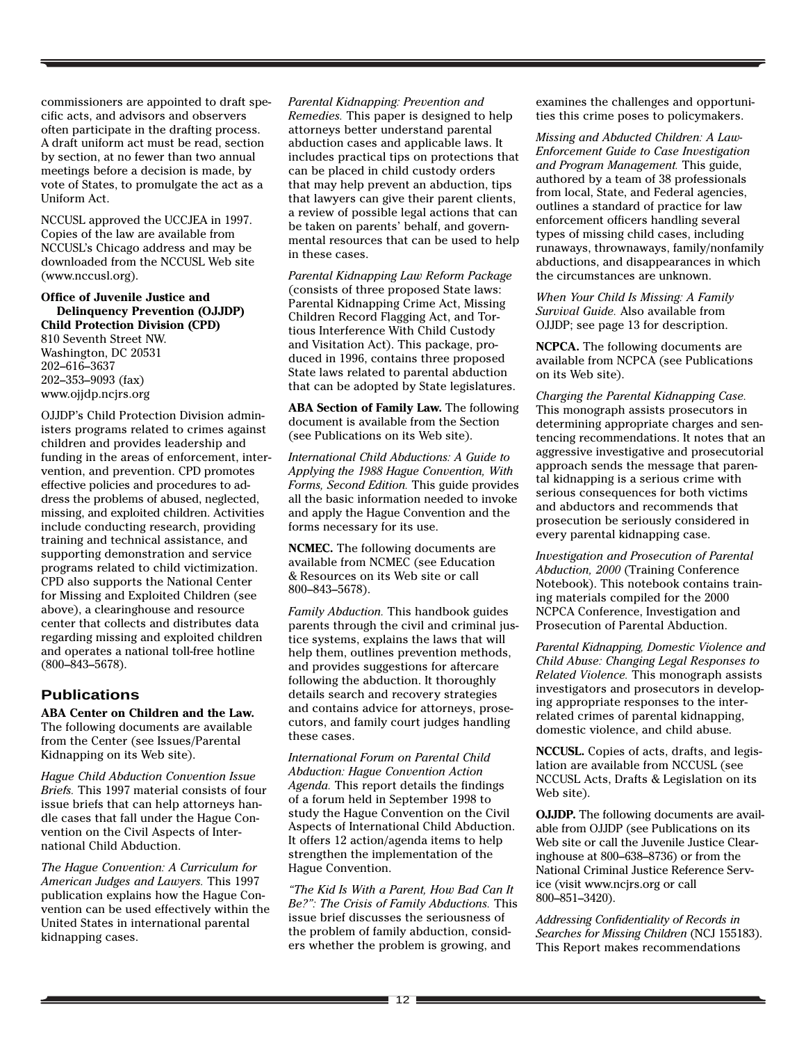commissioners are appointed to draft specific acts, and advisors and observers often participate in the drafting process. A draft uniform act must be read, section by section, at no fewer than two annual meetings before a decision is made, by vote of States, to promulgate the act as a Uniform Act.

NCCUSL approved the UCCJEA in 1997. Copies of the law are available from NCCUSL's Chicago address and may be downloaded from the NCCUSL Web site (www.nccusl.org).

#### **Office of Juvenile Justice and Delinquency Prevention (OJJDP) Child Protection Division (CPD)**

810 Seventh Street NW. Washington, DC 20531 202–616–3637 202–353–9093 (fax) www.ojjdp.ncjrs.org

OJJDP's Child Protection Division administers programs related to crimes against children and provides leadership and funding in the areas of enforcement, intervention, and prevention. CPD promotes effective policies and procedures to address the problems of abused, neglected, missing, and exploited children. Activities include conducting research, providing training and technical assistance, and supporting demonstration and service programs related to child victimization. CPD also supports the National Center for Missing and Exploited Children (see above), a clearinghouse and resource center that collects and distributes data regarding missing and exploited children and operates a national toll-free hotline (800–843–5678).

### **Publications**

**ABA Center on Children and the Law.** The following documents are available from the Center (see Issues/Parental Kidnapping on its Web site).

*Hague Child Abduction Convention Issue Briefs.* This 1997 material consists of four issue briefs that can help attorneys handle cases that fall under the Hague Convention on the Civil Aspects of International Child Abduction.

*The Hague Convention: A Curriculum for American Judges and Lawyers.* This 1997 publication explains how the Hague Convention can be used effectively within the United States in international parental kidnapping cases.

*Parental Kidnapping: Prevention and Remedies.* This paper is designed to help attorneys better understand parental abduction cases and applicable laws. It includes practical tips on protections that can be placed in child custody orders that may help prevent an abduction, tips that lawyers can give their parent clients, a review of possible legal actions that can be taken on parents' behalf, and governmental resources that can be used to help in these cases.

*Parental Kidnapping Law Reform Package* (consists of three proposed State laws: Parental Kidnapping Crime Act, Missing Children Record Flagging Act, and Tortious Interference With Child Custody and Visitation Act). This package, produced in 1996, contains three proposed State laws related to parental abduction that can be adopted by State legislatures.

**ABA Section of Family Law.** The following document is available from the Section (see Publications on its Web site).

*International Child Abductions: A Guide to Applying the 1988 Hague Convention, With Forms, Second Edition.* This guide provides all the basic information needed to invoke and apply the Hague Convention and the forms necessary for its use.

**NCMEC.** The following documents are available from NCMEC (see Education & Resources on its Web site or call 800–843–5678).

*Family Abduction.* This handbook guides parents through the civil and criminal justice systems, explains the laws that will help them, outlines prevention methods, and provides suggestions for aftercare following the abduction. It thoroughly details search and recovery strategies and contains advice for attorneys, prosecutors, and family court judges handling these cases.

*International Forum on Parental Child Abduction: Hague Convention Action Agenda.* This report details the findings of a forum held in September 1998 to study the Hague Convention on the Civil Aspects of International Child Abduction. It offers 12 action/agenda items to help strengthen the implementation of the Hague Convention.

*"The Kid Is With a Parent, How Bad Can It Be?": The Crisis of Family Abductions.* This issue brief discusses the seriousness of the problem of family abduction, considers whether the problem is growing, and

examines the challenges and opportunities this crime poses to policymakers.

*Missing and Abducted Children: A Law-Enforcement Guide to Case Investigation and Program Management.* This guide, authored by a team of 38 professionals from local, State, and Federal agencies, outlines a standard of practice for law enforcement officers handling several types of missing child cases, including runaways, thrownaways, family/nonfamily abductions, and disappearances in which the circumstances are unknown.

*When Your Child Is Missing: A Family Survival Guide.* Also available from OJJDP; see page 13 for description.

**NCPCA.** The following documents are available from NCPCA (see Publications on its Web site).

*Charging the Parental Kidnapping Case.* This monograph assists prosecutors in determining appropriate charges and sentencing recommendations. It notes that an aggressive investigative and prosecutorial approach sends the message that parental kidnapping is a serious crime with serious consequences for both victims and abductors and recommends that prosecution be seriously considered in every parental kidnapping case.

*Investigation and Prosecution of Parental Abduction, 2000* (Training Conference Notebook). This notebook contains training materials compiled for the 2000 NCPCA Conference, Investigation and Prosecution of Parental Abduction.

*Parental Kidnapping, Domestic Violence and Child Abuse: Changing Legal Responses to Related Violence.* This monograph assists investigators and prosecutors in developing appropriate responses to the interrelated crimes of parental kidnapping, domestic violence, and child abuse.

**NCCUSL.** Copies of acts, drafts, and legislation are available from NCCUSL (see NCCUSL Acts, Drafts & Legislation on its Web site).

**OJJDP.** The following documents are available from OJJDP (see Publications on its Web site or call the Juvenile Justice Clearinghouse at 800–638–8736) or from the National Criminal Justice Reference Service (visit www.ncjrs.org or call 800–851–3420).

*Addressing Confidentiality of Records in Searches for Missing Children* (NCJ 155183). This Report makes recommendations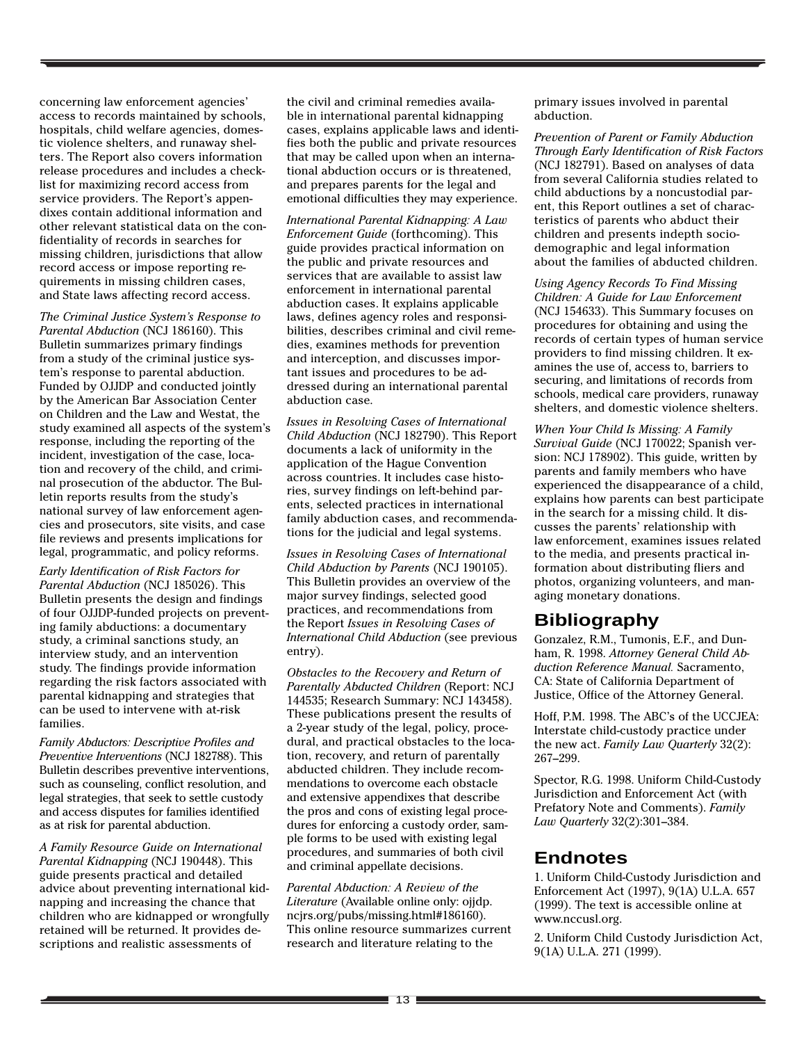concerning law enforcement agencies' access to records maintained by schools, hospitals, child welfare agencies, domestic violence shelters, and runaway shelters. The Report also covers information release procedures and includes a checklist for maximizing record access from service providers. The Report's appendixes contain additional information and other relevant statistical data on the confidentiality of records in searches for missing children, jurisdictions that allow record access or impose reporting requirements in missing children cases, and State laws affecting record access.

*The Criminal Justice System's Response to Parental Abduction* (NCJ 186160). This Bulletin summarizes primary findings from a study of the criminal justice system's response to parental abduction. Funded by OJJDP and conducted jointly by the American Bar Association Center on Children and the Law and Westat, the study examined all aspects of the system's response, including the reporting of the incident, investigation of the case, location and recovery of the child, and criminal prosecution of the abductor. The Bulletin reports results from the study's national survey of law enforcement agencies and prosecutors, site visits, and case file reviews and presents implications for legal, programmatic, and policy reforms.

*Early Identification of Risk Factors for Parental Abduction* (NCJ 185026). This Bulletin presents the design and findings of four OJJDP-funded projects on preventing family abductions: a documentary study, a criminal sanctions study, an interview study, and an intervention study. The findings provide information regarding the risk factors associated with parental kidnapping and strategies that can be used to intervene with at-risk families.

*Family Abductors: Descriptive Profiles and Preventive Interventions* (NCJ 182788). This Bulletin describes preventive interventions, such as counseling, conflict resolution, and legal strategies, that seek to settle custody and access disputes for families identified as at risk for parental abduction.

*A Family Resource Guide on International Parental Kidnapping* (NCJ 190448). This guide presents practical and detailed advice about preventing international kidnapping and increasing the chance that children who are kidnapped or wrongfully retained will be returned. It provides descriptions and realistic assessments of

the civil and criminal remedies available in international parental kidnapping cases, explains applicable laws and identifies both the public and private resources that may be called upon when an international abduction occurs or is threatened, and prepares parents for the legal and emotional difficulties they may experience.

*International Parental Kidnapping: A Law Enforcement Guide* (forthcoming). This guide provides practical information on the public and private resources and services that are available to assist law enforcement in international parental abduction cases. It explains applicable laws, defines agency roles and responsibilities, describes criminal and civil remedies, examines methods for prevention and interception, and discusses important issues and procedures to be addressed during an international parental abduction case.

*Issues in Resolving Cases of International Child Abduction* (NCJ 182790). This Report documents a lack of uniformity in the application of the Hague Convention across countries. It includes case histories, survey findings on left-behind parents, selected practices in international family abduction cases, and recommendations for the judicial and legal systems.

*Issues in Resolving Cases of International Child Abduction by Parents* (NCJ 190105). This Bulletin provides an overview of the major survey findings, selected good practices, and recommendations from the Report *Issues in Resolving Cases of International Child Abduction* (see previous entry).

*Obstacles to the Recovery and Return of Parentally Abducted Children* (Report: NCJ 144535; Research Summary: NCJ 143458). These publications present the results of a 2-year study of the legal, policy, procedural, and practical obstacles to the location, recovery, and return of parentally abducted children. They include recommendations to overcome each obstacle and extensive appendixes that describe the pros and cons of existing legal procedures for enforcing a custody order, sample forms to be used with existing legal procedures, and summaries of both civil and criminal appellate decisions.

*Parental Abduction: A Review of the Literature* (Available online only: ojjdp. ncjrs.org/pubs/missing.html#186160). This online resource summarizes current research and literature relating to the

primary issues involved in parental abduction.

*Prevention of Parent or Family Abduction Through Early Identification of Risk Factors* (NCJ 182791). Based on analyses of data from several California studies related to child abductions by a noncustodial parent, this Report outlines a set of characteristics of parents who abduct their children and presents indepth sociodemographic and legal information about the families of abducted children.

*Using Agency Records To Find Missing Children: A Guide for Law Enforcement* (NCJ 154633). This Summary focuses on procedures for obtaining and using the records of certain types of human service providers to find missing children. It examines the use of, access to, barriers to securing, and limitations of records from schools, medical care providers, runaway shelters, and domestic violence shelters.

*When Your Child Is Missing: A Family Survival Guide* (NCJ 170022; Spanish version: NCJ 178902). This guide, written by parents and family members who have experienced the disappearance of a child, explains how parents can best participate in the search for a missing child. It discusses the parents' relationship with law enforcement, examines issues related to the media, and presents practical information about distributing fliers and photos, organizing volunteers, and managing monetary donations.

# **Bibliography**

Gonzalez, R.M., Tumonis, E.F., and Dunham, R. 1998. *Attorney General Child Abduction Reference Manual.* Sacramento, CA: State of California Department of Justice, Office of the Attorney General.

Hoff, P.M. 1998. The ABC's of the UCCJEA: Interstate child-custody practice under the new act. *Family Law Quarterly* 32(2): 267–299.

Spector, R.G. 1998. Uniform Child-Custody Jurisdiction and Enforcement Act (with Prefatory Note and Comments). *Family Law Quarterly* 32(2):301–384.

# **Endnotes**

1. Uniform Child-Custody Jurisdiction and Enforcement Act (1997), 9(1A) U.L.A. 657 (1999). The text is accessible online at www.nccusl.org.

2. Uniform Child Custody Jurisdiction Act, 9(1A) U.L.A. 271 (1999).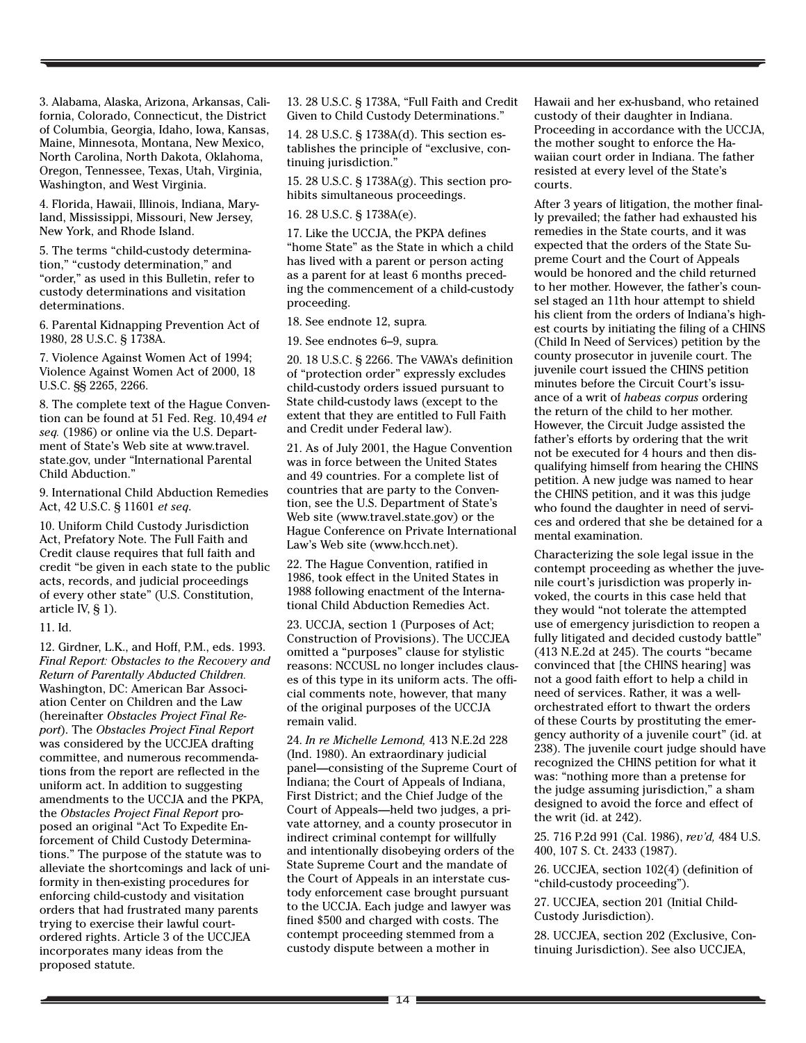3. Alabama, Alaska, Arizona, Arkansas, California, Colorado, Connecticut, the District of Columbia, Georgia, Idaho, Iowa, Kansas, Maine, Minnesota, Montana, New Mexico, North Carolina, North Dakota, Oklahoma, Oregon, Tennessee, Texas, Utah, Virginia, Washington, and West Virginia.

4. Florida, Hawaii, Illinois, Indiana, Maryland, Mississippi, Missouri, New Jersey, New York, and Rhode Island.

5. The terms "child-custody determination," "custody determination," and "order," as used in this Bulletin, refer to custody determinations and visitation determinations.

6. Parental Kidnapping Prevention Act of 1980, 28 U.S.C. § 1738A.

7. Violence Against Women Act of 1994; Violence Against Women Act of 2000, 18 U.S.C. §§ 2265, 2266.

8. The complete text of the Hague Convention can be found at 51 Fed. Reg. 10,494 *et seq.* (1986) or online via the U.S. Department of State's Web site at www.travel. state.gov, under "International Parental Child Abduction."

9. International Child Abduction Remedies Act, 42 U.S.C. § 11601 *et seq*.

10. Uniform Child Custody Jurisdiction Act, Prefatory Note. The Full Faith and Credit clause requires that full faith and credit "be given in each state to the public acts, records, and judicial proceedings of every other state" (U.S. Constitution, article IV, § 1).

11. Id.

12. Girdner, L.K., and Hoff, P.M., eds. 1993. *Final Report: Obstacles to the Recovery and Return of Parentally Abducted Children.* Washington, DC: American Bar Association Center on Children and the Law (hereinafter *Obstacles Project Final Report*). The *Obstacles Project Final Report* was considered by the UCCJEA drafting committee, and numerous recommendations from the report are reflected in the uniform act. In addition to suggesting amendments to the UCCJA and the PKPA, the *Obstacles Project Final Report* proposed an original "Act To Expedite Enforcement of Child Custody Determinations." The purpose of the statute was to alleviate the shortcomings and lack of uniformity in then-existing procedures for enforcing child-custody and visitation orders that had frustrated many parents trying to exercise their lawful courtordered rights. Article 3 of the UCCJEA incorporates many ideas from the proposed statute.

13. 28 U.S.C. § 1738A, "Full Faith and Credit Given to Child Custody Determinations."

14. 28 U.S.C. § 1738A(d). This section establishes the principle of "exclusive, continuing jurisdiction."

15. 28 U.S.C. § 1738A(g). This section prohibits simultaneous proceedings.

16. 28 U.S.C. § 1738A(e).

17. Like the UCCJA, the PKPA defines "home State" as the State in which a child has lived with a parent or person acting as a parent for at least 6 months preceding the commencement of a child-custody proceeding.

18. See endnote 12, supra*.*

19. See endnotes 6–9, supra*.*

20. 18 U.S.C. § 2266. The VAWA's definition of "protection order" expressly excludes child-custody orders issued pursuant to State child-custody laws (except to the extent that they are entitled to Full Faith and Credit under Federal law).

21. As of July 2001, the Hague Convention was in force between the United States and 49 countries. For a complete list of countries that are party to the Convention, see the U.S. Department of State's Web site (www.travel.state.gov) or the Hague Conference on Private International Law's Web site (www.hcch.net).

22. The Hague Convention, ratified in 1986, took effect in the United States in 1988 following enactment of the International Child Abduction Remedies Act.

23. UCCJA, section 1 (Purposes of Act; Construction of Provisions). The UCCJEA omitted a "purposes" clause for stylistic reasons: NCCUSL no longer includes clauses of this type in its uniform acts. The official comments note, however, that many of the original purposes of the UCCJA remain valid.

24. *In re Michelle Lemond,* 413 N.E.2d 228 (Ind. 1980). An extraordinary judicial panel—consisting of the Supreme Court of Indiana; the Court of Appeals of Indiana, First District; and the Chief Judge of the Court of Appeals—held two judges, a private attorney, and a county prosecutor in indirect criminal contempt for willfully and intentionally disobeying orders of the State Supreme Court and the mandate of the Court of Appeals in an interstate custody enforcement case brought pursuant to the UCCJA. Each judge and lawyer was fined \$500 and charged with costs. The contempt proceeding stemmed from a custody dispute between a mother in

Hawaii and her ex-husband, who retained custody of their daughter in Indiana. Proceeding in accordance with the UCCJA, the mother sought to enforce the Hawaiian court order in Indiana. The father resisted at every level of the State's courts.

After 3 years of litigation, the mother finally prevailed; the father had exhausted his remedies in the State courts, and it was expected that the orders of the State Supreme Court and the Court of Appeals would be honored and the child returned to her mother. However, the father's counsel staged an 11th hour attempt to shield his client from the orders of Indiana's highest courts by initiating the filing of a CHINS (Child In Need of Services) petition by the county prosecutor in juvenile court. The juvenile court issued the CHINS petition minutes before the Circuit Court's issuance of a writ of *habeas corpus* ordering the return of the child to her mother. However, the Circuit Judge assisted the father's efforts by ordering that the writ not be executed for 4 hours and then disqualifying himself from hearing the CHINS petition. A new judge was named to hear the CHINS petition, and it was this judge who found the daughter in need of services and ordered that she be detained for a mental examination.

Characterizing the sole legal issue in the contempt proceeding as whether the juvenile court's jurisdiction was properly invoked, the courts in this case held that they would "not tolerate the attempted use of emergency jurisdiction to reopen a fully litigated and decided custody battle" (413 N.E.2d at 245). The courts "became convinced that [the CHINS hearing] was not a good faith effort to help a child in need of services. Rather, it was a wellorchestrated effort to thwart the orders of these Courts by prostituting the emergency authority of a juvenile court" (id. at 238). The juvenile court judge should have recognized the CHINS petition for what it was: "nothing more than a pretense for the judge assuming jurisdiction," a sham designed to avoid the force and effect of the writ (id. at 242).

25. 716 P.2d 991 (Cal. 1986), *rev'd,* 484 U.S. 400, 107 S. Ct. 2433 (1987).

26. UCCJEA, section 102(4) (definition of "child-custody proceeding").

27. UCCJEA, section 201 (Initial Child-Custody Jurisdiction).

28. UCCJEA, section 202 (Exclusive, Continuing Jurisdiction). See also UCCJEA,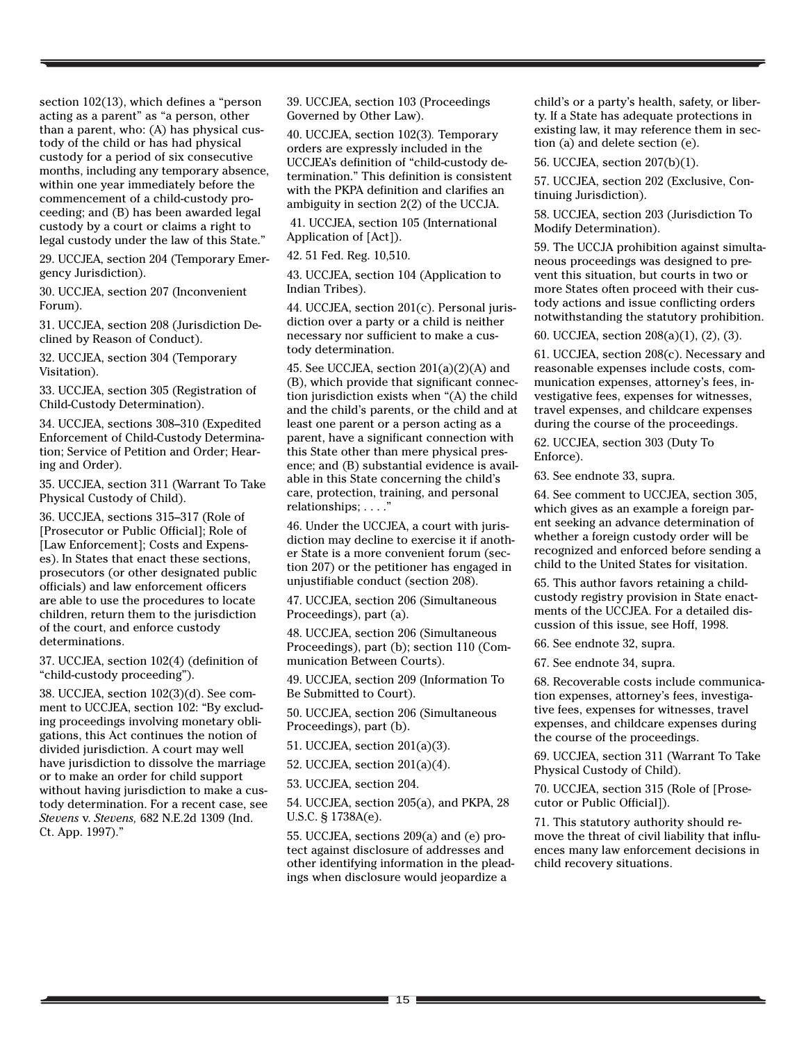section 102(13), which defines a "person acting as a parent" as "a person, other than a parent, who: (A) has physical custody of the child or has had physical custody for a period of six consecutive months, including any temporary absence, within one year immediately before the commencement of a child-custody proceeding; and (B) has been awarded legal custody by a court or claims a right to legal custody under the law of this State."

29. UCCJEA, section 204 (Temporary Emergency Jurisdiction).

30. UCCJEA, section 207 (Inconvenient Forum).

31. UCCJEA, section 208 (Jurisdiction Declined by Reason of Conduct).

32. UCCJEA, section 304 (Temporary Visitation).

33. UCCJEA, section 305 (Registration of Child-Custody Determination).

34. UCCJEA, sections 308–310 (Expedited Enforcement of Child-Custody Determination; Service of Petition and Order; Hearing and Order).

35. UCCJEA, section 311 (Warrant To Take Physical Custody of Child).

36. UCCJEA, sections 315–317 (Role of [Prosecutor or Public Official]; Role of [Law Enforcement]; Costs and Expenses). In States that enact these sections, prosecutors (or other designated public officials) and law enforcement officers are able to use the procedures to locate children, return them to the jurisdiction of the court, and enforce custody determinations.

37. UCCJEA, section 102(4) (definition of "child-custody proceeding").

38. UCCJEA, section 102(3)(d). See comment to UCCJEA, section 102: "By excluding proceedings involving monetary obligations, this Act continues the notion of divided jurisdiction. A court may well have jurisdiction to dissolve the marriage or to make an order for child support without having jurisdiction to make a custody determination. For a recent case, see *Stevens* v. *Stevens,* 682 N.E.2d 1309 (Ind. Ct. App. 1997)."

39. UCCJEA, section 103 (Proceedings Governed by Other Law).

40. UCCJEA, section 102(3)*.* Temporary orders are expressly included in the UCCJEA's definition of "child-custody determination." This definition is consistent with the PKPA definition and clarifies an ambiguity in section 2(2) of the UCCJA.

41. UCCJEA, section 105 (International Application of [Act]).

42. 51 Fed. Reg. 10,510.

43. UCCJEA, section 104 (Application to Indian Tribes).

44. UCCJEA, section 201(c). Personal jurisdiction over a party or a child is neither necessary nor sufficient to make a custody determination.

45. See UCCJEA, section 201(a)(2)(A) and (B), which provide that significant connection jurisdiction exists when "(A) the child and the child's parents, or the child and at least one parent or a person acting as a parent, have a significant connection with this State other than mere physical presence; and (B) substantial evidence is available in this State concerning the child's care, protection, training, and personal relationships; . . . ."

46. Under the UCCJEA, a court with jurisdiction may decline to exercise it if another State is a more convenient forum (section 207) or the petitioner has engaged in unjustifiable conduct (section 208).

47. UCCJEA, section 206 (Simultaneous Proceedings), part (a).

48. UCCJEA, section 206 (Simultaneous Proceedings), part (b); section 110 (Communication Between Courts).

49. UCCJEA, section 209 (Information To Be Submitted to Court).

50. UCCJEA, section 206 (Simultaneous Proceedings), part (b).

51. UCCJEA, section 201(a)(3).

52. UCCJEA, section 201(a)(4).

53. UCCJEA, section 204.

54. UCCJEA, section 205(a), and PKPA, 28 U.S.C. § 1738A(e).

55. UCCJEA, sections 209(a) and (e) protect against disclosure of addresses and other identifying information in the pleadings when disclosure would jeopardize a

child's or a party's health, safety, or liberty. If a State has adequate protections in existing law, it may reference them in section (a) and delete section (e).

56. UCCJEA, section 207(b)(1).

57. UCCJEA, section 202 (Exclusive, Continuing Jurisdiction).

58. UCCJEA, section 203 (Jurisdiction To Modify Determination).

59. The UCCJA prohibition against simultaneous proceedings was designed to prevent this situation, but courts in two or more States often proceed with their custody actions and issue conflicting orders notwithstanding the statutory prohibition.

60. UCCJEA, section 208(a)(1), (2), (3).

61. UCCJEA, section 208(c). Necessary and reasonable expenses include costs, communication expenses, attorney's fees, investigative fees, expenses for witnesses, travel expenses, and childcare expenses during the course of the proceedings.

62. UCCJEA, section 303 (Duty To Enforce).

63. See endnote 33, supra.

64. See comment to UCCJEA, section 305, which gives as an example a foreign parent seeking an advance determination of whether a foreign custody order will be recognized and enforced before sending a child to the United States for visitation.

65. This author favors retaining a childcustody registry provision in State enactments of the UCCJEA. For a detailed discussion of this issue, see Hoff, 1998.

66. See endnote 32, supra.

67. See endnote 34, supra.

68. Recoverable costs include communication expenses, attorney's fees, investigative fees, expenses for witnesses, travel expenses, and childcare expenses during the course of the proceedings.

69. UCCJEA, section 311 (Warrant To Take Physical Custody of Child).

70. UCCJEA, section 315 (Role of [Prosecutor or Public Official]).

71. This statutory authority should remove the threat of civil liability that influences many law enforcement decisions in child recovery situations.